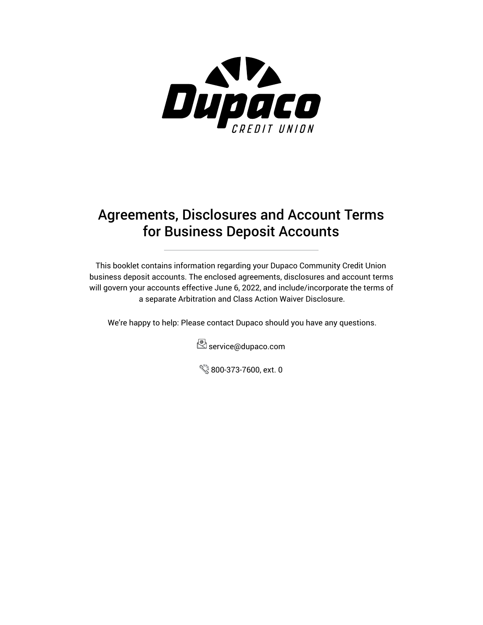

# Agreements, Disclosures and Account Terms for Business Deposit Accounts

This booklet contains information regarding your Dupaco Community Credit Union business deposit accounts. The enclosed agreements, disclosures and account terms will govern your accounts effective June 6, 2022, and include/incorporate the terms of a separate Arbitration and Class Action Waiver Disclosure.

We're happy to help: Please contact Dupaco should you have any questions.



800-373-7600, ext. 0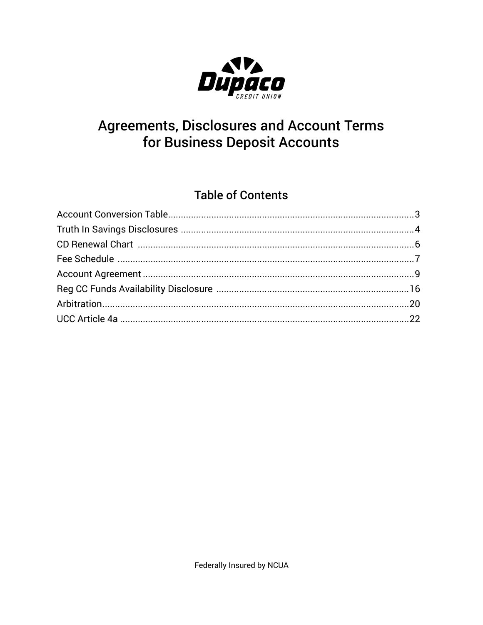

# **Agreements, Disclosures and Account Terms** for Business Deposit Accounts

# **Table of Contents**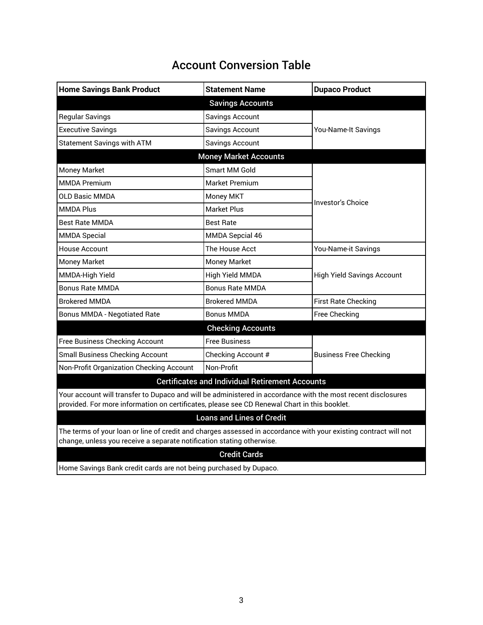| <b>Account Conversion Table</b> |
|---------------------------------|
|---------------------------------|

<span id="page-2-0"></span>

| <b>Home Savings Bank Product</b>                       | <b>Statement Name</b>        | <b>Dupaco Product</b>             |  |  |
|--------------------------------------------------------|------------------------------|-----------------------------------|--|--|
|                                                        | <b>Savings Accounts</b>      |                                   |  |  |
| <b>Regular Savings</b>                                 | Savings Account              | You-Name-It Savings               |  |  |
| <b>Executive Savings</b>                               | Savings Account              |                                   |  |  |
| <b>Statement Savings with ATM</b>                      | <b>Savings Account</b>       |                                   |  |  |
|                                                        | <b>Money Market Accounts</b> |                                   |  |  |
| <b>Money Market</b>                                    | Smart MM Gold                | <b>Investor's Choice</b>          |  |  |
| <b>MMDA Premium</b>                                    | <b>Market Premium</b>        |                                   |  |  |
| <b>OLD Basic MMDA</b>                                  | <b>Money MKT</b>             |                                   |  |  |
| <b>MMDA Plus</b>                                       | <b>Market Plus</b>           |                                   |  |  |
| <b>Best Rate MMDA</b>                                  | <b>Best Rate</b>             |                                   |  |  |
| <b>MMDA Special</b>                                    | <b>MMDA Sepcial 46</b>       |                                   |  |  |
| <b>House Account</b>                                   | The House Acct               | You-Name-it Savings               |  |  |
| Money Market                                           | Money Market                 | <b>High Yield Savings Account</b> |  |  |
| MMDA-High Yield                                        | High Yield MMDA              |                                   |  |  |
| <b>Bonus Rate MMDA</b>                                 | <b>Bonus Rate MMDA</b>       |                                   |  |  |
| <b>Brokered MMDA</b>                                   | <b>Brokered MMDA</b>         | <b>First Rate Checking</b>        |  |  |
| <b>Bonus MMDA - Negotiated Rate</b>                    | <b>Bonus MMDA</b>            | Free Checking                     |  |  |
|                                                        | <b>Checking Accounts</b>     |                                   |  |  |
| <b>Free Business Checking Account</b>                  | <b>Free Business</b>         |                                   |  |  |
| <b>Small Business Checking Account</b>                 | Checking Account #           | <b>Business Free Checking</b>     |  |  |
| Non-Profit Organization Checking Account               | Non-Profit                   |                                   |  |  |
| <b>Certificates and Individual Retirement Accounts</b> |                              |                                   |  |  |
|                                                        |                              |                                   |  |  |

Your account will transfer to Dupaco and will be administered in accordance with the most recent disclosures provided. For more information on certificates, please see CD Renewal Chart in this booklet.

## Loans and Lines of Credit

The terms of your loan or line of credit and charges assessed in accordance with your existing contract will not change, unless you receive a separate notification stating otherwise.

### Credit Cards

Home Savings Bank credit cards are not being purchased by Dupaco.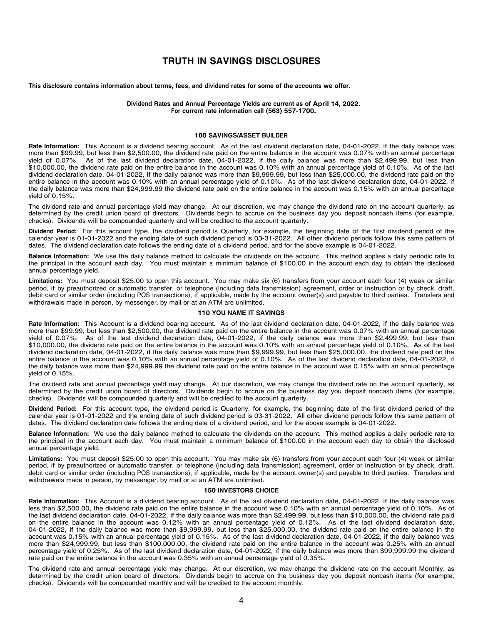## **Dubuque, IA 52001 TRUTH IN SAVINGS DISCLOSURES**

<span id="page-3-0"></span>This disclosure contains information about terms, fees, and dividend rates for some of the accounts we offer.

**Dividend Rates and Annual Percentage Yields are current as of April 14, 2022. April 13, 2022 For current rate information call (563) 557-1700.**

### **100 SAVINGS/ASSET BUILDER Dividend Rates and Annual Percentage Yields are current as of April 14, 2022.**

Rate Information: This Account is a dividend bearing account. As of the last dividend declaration date, 04-01-2022, if the daily balance was more than \$99.99, but less than \$2,500.00, the dividend rate paid on the entire balance in the account was 0.07% with an annual percentage yield of 0.07%. As of the last dividend declaration date, 04-01-2022, if the daily balance was more than \$2,499.99, but less than \$10,000.00, the dividend rate paid on the entire balance in the account was 0.10% with an annual percentage yield of 0.10%. As of the last dividend declaration date, 04-01-2022, if the daily balance was more than \$9,999.99, but less than \$25,000.00, the dividend rate paid on the entire balance in the account was 0.10% with an annual percentage yield of 0.10%. As of the last dividend declaration date, 04-01-2022, if the daily balance was more than \$24,999.99 the dividend rate paid on the entire balance in the account was 0.15% with an annual percentage yield of 0.15%. wield of 0.15%.<br>Vield of 0.15%.

ricid of 0.10%.<br>The dividend rate and annual percentage yield may change. At our discretion, we may change the dividend rate on the account quarterly, as determined by the credit union board of directors. Dividends begin to accrue on the business day you deposit noncash items (for example, checks). Dividends will be compounded quarterly and will be credited to the account quarterly. The dividend rate and annual percentage yield may change. At our discretion, we may change the dividend rate on the account quarterly, as

Dividend Period: For this account type, the dividend period is Quarterly, for example, the beginning date of the first dividend period of the calendar year is 01-01-2022 and the ending date of such dividend period is 03-31-2022. All other dividend periods follow this same pattern of dates. The dividend declaration date follows the ending date of a dividend period, and for the above example is 04-01-2022.

Balance Information: We use the daily balance method to calculate the dividends on the account. This method applies a daily periodic rate to the principal in the account each day. You must maintain a minimum balance of \$100.00 in the account each day to obtain the disclosed annual percentage yield.  $\overline{a}$  is 03-31-2022 and the ending date of such dividend periods for such dividend periods follow this same pattern of such dividend periods follow this same pattern of same pattern of same patt

Limitations: You must deposit \$25.00 to open this account. You may make six (6) transfers from your account each four (4) week or similar period, if by preauthorized or automatic transfer, or telephone (including data transmission) agreement, order or instruction or by check, draft, debit card or similar order (including POS transactions), if applicable, made by the account owner(s) and payable to third parties. Transfers and withdrawals made in person, by messenger, by mail or at an ATM are unlimited.

### **110 YOU NAME IT SAVINGS LIMITATIONS**

Rate Information: This Account is a dividend bearing account. As of the last dividend declaration date, 04-01-2022, if the daily balance was more than \$99.99, but less than \$2,500.00, the dividend rate paid on the entire balance in the account was 0.07% with an annual percentage with the contract where the last dividend declaration date, 04-01-2022, if the daily balance was more than \$2,499.99, but less than yellow the last dividend declaration date, 04-01-2022, if the daily balance was more than  $$10,000.00$ , the dividend rate paid on the entire balance in the account was 0.10% with an annual percentage yield of 0.10%. As of the last dividend declaration date, 04-01-2022, if the daily balance was more than \$9,999.99, but less than \$25,000.00, the dividend rate paid on the entire balance in the account was 0.10% with an annual percentage yield of 0.10%. As of the last dividend declaration date, 04-01-2022, if the daily balance was more than \$24,999.99 the dividend rate paid on the entire balance in the account was 0.15% with an annual percentage yield of 0.15%. wield of 0.15%.<br>Vield of 0.15%.

rece or oncome.<br>The dividend rate and annual percentage yield may change. At our discretion, we may change the dividend rate on the account quarterly, as determined by the credit union board of directors. Dividends begin to accrue on the business day you deposit noncash items (for example, checks). Dividends will be compounded quarterly and will be credited to the account quarterly. The dividend rate and annual percentage yield may change. At our discretion, we may change the dividend rate on the account quarterly, as

Dividend Period: For this account type, the dividend period is Quarterly, for example, the beginning date of the first dividend period of the calendar year is 01-01-2022 and the ending date of such dividend period is 03-31-2022. All other dividend periods follow this same pattern of dates. The dividend declaration date follows the ending date of a dividend period, and for the above example is 04-01-2022.

Balance Information: We use the daily balance method to calculate the dividends on the account. This method applies a daily periodic rate to the principal in the account each day. You must maintain a minimum balance of \$100.00 in the account each day to obtain the disclosed annual percentage yield.  $\overline{a}$  is 03-31-2022 and the ending date of such dividend periods for such dividend periods follow this same pattern of such dividend periods follow this same pattern of same pattern of same patt

Limitations: You must deposit \$25.00 to open this account. You may make six (6) transfers from your account each four (4) week or similar period, if by preauthorized or automatic transfer, or telephone (including data transmission) agreement, order or instruction or by check, draft, debit card or similar order (including POS transactions), if applicable, made by the account owner(s) and payable to third parties. Transfers and withdrawals made in person, by messenger, by mail or at an ATM are unlimited.

### **150 INVESTORS CHOICE Limitations:** You make six (6) this account each four account each four each four each four each four each four each four each four each four each four each four each four each four each four each f

Rate Information: This Account is a dividend bearing account. As of the last dividend declaration date, 04-01-2022, if the daily balance was less than \$2,500.00, the dividend rate paid on the entire balance in the account was 0.10% with an annual percentage yield of 0.10%. As of the last dividend declaration date, 04-01-2022, if the daily balance was more than \$2,499.99, but less than \$10,000.00, the dividend rate paid on the entire balance in the account was 0.12% with an annual percentage yield of 0.12%. As of the last dividend declaration date, 04-01-2022, if the daily balance was more than \$9,999.99, but less than \$25,000.00, the dividend rate paid on the entire balance in the account was 0.15% with an annual percentage yield of 0.15%. As of the last dividend declaration date, 04-01-2022, if the daily balance was more than \$24,999.99, but less than \$100,000.00, the dividend rate paid on the entire balance in the account was 0.25% with an annual percentage yield of 0.25%. As of the last dividend declaration date, 04-01-2022, if the daily balance was more than \$99,999.99 the dividend rate paid on the entire balance in the account was 0.35% with an annual percentage yield of 0.35%.

The dividend rate and annual percentage yield may change. At our discretion, we may change the dividend rate on the account Monthly, as determined by the credit union board of directors. Dividends begin to accrue on the business day you deposit noncash items (for example, checks). Dividends will be compounded monthly and will be credited to the account monthly. The dividend rate and annual percentage yield may change. At our discretion, we may change the dividend rate on the account Monthly, as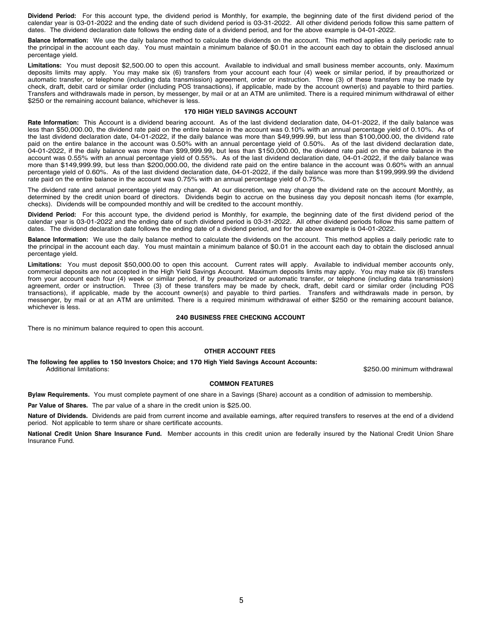**Dividend Period:** For this account type, the dividend period is Monthly, for example, the beginning date of the first dividend period of the calendar year is 03-01-2022 and the ending date of such dividend period is 03-31-2022. All other dividend periods follow this same pattern of dates. The dividend declaration date follows the ending date of a dividend period, and for the above example is 04-01-2022.

**Balance Information:** We use the daily balance method to calculate the dividends on the account. This method applies a daily periodic rate to the principal in the account each day. You must maintain a minimum balance of \$0.01 in the account each day to obtain the disclosed annual percentage yield.

**Limitations:** You must deposit \$2,500.00 to open this account. Available to individual and small business member accounts, only. Maximum deposits limits may apply. You may make six (6) transfers from your account each four (4) week or similar period, if by preauthorized or automatic transfer, or telephone (including data transmission) agreement, order or instruction. Three (3) of these transfers may be made by check, draft, debit card or similar order (including POS transactions), if applicable, made by the account owner(s) and payable to third parties. Transfers and withdrawals made in person, by messenger, by mail or at an ATM are unlimited. There is a required minimum withdrawal of either \$250 or the remaining account balance, whichever is less.

### **170 HIGH YIELD SAVINGS ACCOUNT**

**Rate Information:** This Account is a dividend bearing account. As of the last dividend declaration date, 04-01-2022, if the daily balance was less than \$50,000.00, the dividend rate paid on the entire balance in the account was 0.10% with an annual percentage yield of 0.10%. As of the last dividend declaration date, 04-01-2022, if the daily balance was more than \$49,999.99, but less than \$100,000.00, the dividend rate paid on the entire balance in the account was 0.50% with an annual percentage yield of 0.50%. As of the last dividend declaration date, 04-01-2022, if the daily balance was more than \$99,999.99, but less than \$150,000.00, the dividend rate paid on the entire balance in the account was 0.55% with an annual percentage yield of 0.55%. As of the last dividend declaration date, 04-01-2022, if the daily balance was more than \$149,999.99, but less than \$200,000.00, the dividend rate paid on the entire balance in the account was 0.60% with an annual percentage yield of 0.60%. As of the last dividend declaration date, 04-01-2022, if the daily balance was more than \$199,999.99 the dividend rate paid on the entire balance in the account was 0.75% with an annual percentage yield of 0.75%.

The dividend rate and annual percentage yield may change. At our discretion, we may change the dividend rate on the account Monthly, as determined by the credit union board of directors. Dividends begin to accrue on the business day you deposit noncash items (for example, checks). Dividends will be compounded monthly and will be credited to the account monthly.

**Dividend Period:** For this account type, the dividend period is Monthly, for example, the beginning date of the first dividend period of the calendar year is 03-01-2022 and the ending date of such dividend period is 03-31-2022. All other dividend periods follow this same pattern of dates. The dividend declaration date follows the ending date of a dividend period, and for the above example is 04-01-2022.

**Balance Information:** We use the daily balance method to calculate the dividends on the account. This method applies a daily periodic rate to the principal in the account each day. You must maintain a minimum balance of \$0.01 in the account each day to obtain the disclosed annual percentage yield.

**Limitations:** You must deposit \$50,000.00 to open this account. Current rates will apply. Available to individual member accounts only, commercial deposits are not accepted in the High Yield Savings Account. Maximum deposits limits may apply. You may make six (6) transfers from your account each four (4) week or similar period, if by preauthorized or automatic transfer, or telephone (including data transmission) agreement, order or instruction. Three (3) of these transfers may be made by check, draft, debit card or similar order (including POS transactions), if applicable, made by the account owner(s) and payable to third parties. Transfers and withdrawals made in person, by messenger, by mail or at an ATM are unlimited. There is a required minimum withdrawal of either \$250 or the remaining account balance, whichever is less.

### **240 BUSINESS FREE CHECKING ACCOUNT**

There is no minimum balance required to open this account.

### **OTHER ACCOUNT FEES**

**The following fee applies to 150 Investors Choice; and 170 High Yield Savings Account Accounts:**

\$250.00 minimum withdrawal

### **COMMON FEATURES**

**Bylaw Requirements.** You must complete payment of one share in a Savings (Share) account as a condition of admission to membership.

**Par Value of Shares.** The par value of a share in the credit union is \$25.00.

**Nature of Dividends.** Dividends are paid from current income and available earnings, after required transfers to reserves at the end of a dividend period. Not applicable to term share or share certificate accounts.

**National Credit Union Share Insurance Fund.** Member accounts in this credit union are federally insured by the National Credit Union Share Insurance Fund.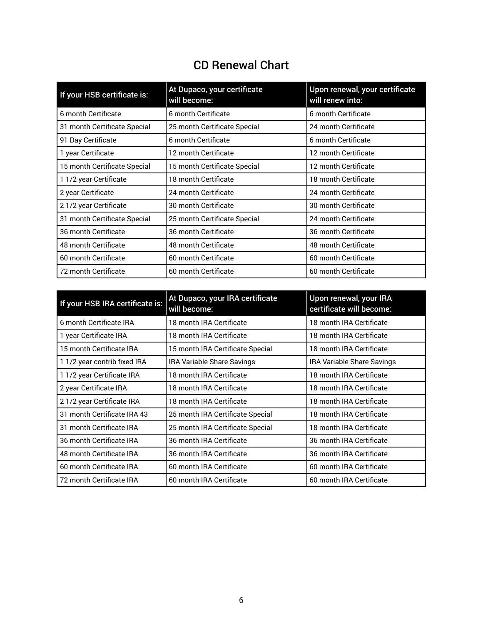# CD Renewal Chart

<span id="page-5-0"></span>

| If your HSB certificate is:  | At Dupaco, your certificate<br>will become: | Upon renewal, your certificate<br>will renew into: |
|------------------------------|---------------------------------------------|----------------------------------------------------|
| 6 month Certificate          | 6 month Certificate                         | 6 month Certificate                                |
| 31 month Certificate Special | 25 month Certificate Special                | 24 month Certificate                               |
| 91 Day Certificate           | 6 month Certificate                         | 6 month Certificate                                |
| 1 year Certificate           | 12 month Certificate                        | 12 month Certificate                               |
| 15 month Certificate Special | 15 month Certificate Special                | 12 month Certificate                               |
| 1 1/2 year Certificate       | 18 month Certificate                        | 18 month Certificate                               |
| 2 year Certificate           | 24 month Certificate                        | 24 month Certificate                               |
| 2 1/2 year Certificate       | 30 month Certificate                        | 30 month Certificate                               |
| 31 month Certificate Special | 25 month Certificate Special                | 24 month Certificate                               |
| 36 month Certificate         | 36 month Certificate                        | 36 month Certificate                               |
| 48 month Certificate         | <b>48 month Certificate</b>                 | 48 month Certificate                               |
| 60 month Certificate         | 60 month Certificate                        | 60 month Certificate                               |
| 72 month Certificate         | 60 month Certificate                        | 60 month Certificate                               |

| If your HSB IRA certificate is: | At Dupaco, your IRA certificate<br>will become: | Upon renewal, your IRA<br>certificate will become: |
|---------------------------------|-------------------------------------------------|----------------------------------------------------|
| 6 month Certificate IRA         | 18 month IRA Certificate                        | 18 month IRA Certificate                           |
| 1 year Certificate IRA          | 18 month IRA Certificate                        | 18 month IRA Certificate                           |
| 15 month Certificate IRA        | 15 month IRA Certificate Special                | 18 month IRA Certificate                           |
| 1 1/2 year contrib fixed IRA    | IRA Variable Share Savings                      | IRA Variable Share Savings                         |
| 1 1/2 year Certificate IRA      | 18 month IRA Certificate                        | 18 month IRA Certificate                           |
| 2 year Certificate IRA          | 18 month IRA Certificate                        | 18 month IRA Certificate                           |
| 2 1/2 year Certificate IRA      | 18 month IRA Certificate                        | 18 month IRA Certificate                           |
| 31 month Certificate IRA 43     | 25 month IRA Certificate Special                | 18 month IRA Certificate                           |
| 31 month Certificate IRA        | 25 month IRA Certificate Special                | 18 month IRA Certificate                           |
| 36 month Certificate IRA        | 36 month IRA Certificate                        | 36 month IRA Certificate                           |
| 48 month Certificate IRA        | 36 month IRA Certificate                        | 36 month IRA Certificate                           |
| 60 month Certificate IRA        | 60 month IRA Certificate                        | 60 month IRA Certificate                           |
| 72 month Certificate IRA        | 60 month IRA Certificate                        | 60 month IRA Certificate                           |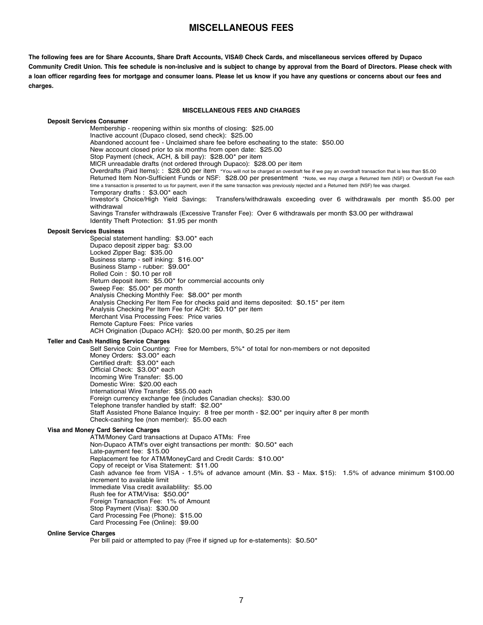## **MISCELLANEOUS FEES**

<span id="page-6-0"></span>The following fees are for Share Accounts, Share Draft Accounts, VISA® Check Cards, and miscellaneous services offered by Dupaco Community Credit Union. This fee schedule is non-inclusive and is subject to change by approval from the Board of Directors. Please check with a loan officer regarding fees for mortgage and consumer loans. Please let us know if you have any questions or concerns about our fees and **charges.**

#### **MISCELLANEOUS FEES AND CHARGES**

**Deposit Services Consumer** Membership - reopening within six months of closing: \$25.00 Inactive account (Dupaco closed, send check): \$25.00 Abandoned account fee - Unclaimed share fee before escheating to the state: \$50.00 New account closed prior to six months from open date: \$25.00 Stop Payment (check, ACH, & bill pay): \$28.00\* per item MICR unreadable drafts (not ordered through Dupaco): \$28.00 per item Overdrafts (Paid Items): : \$28.00 per item \*You will not be charged an overdraft fee if we pay an overdraft transaction that is less than \$5.00 Returned Item Non-Sufficient Funds or NSF: \$28.00 per presentment \*Note, we may charge <sup>a</sup> Returned Item (NSF) or Overdraft Fee each time a transaction is presented to us for payment, even if the same transaction was previously rejected and a Returned Item (NSF) fee was charged. Temporary drafts : \$3.00\* each Investor's Choice/High Yield Savings: Transfers/withdrawals exceeding over 6 withdrawals per month \$5.00 per withdrawal Savings Transfer withdrawals (Excessive Transfer Fee): Over 6 withdrawals per month \$3.00 per withdrawal Identity Theft Protection: \$1.95 per month **Deposit Services Business** Special statement handling: \$3.00\* each Dupaco deposit zipper bag: \$3.00 Locked Zipper Bag: \$35.00 Business stamp - self inking: \$16.00\* Business Stamp - rubber: \$9.00\* Rolled Coin : \$0.10 per roll Return deposit item: \$5.00\* for commercial accounts only Sweep Fee: \$5.00\* per month Analysis Checking Monthly Fee: \$8.00\* per month Analysis Checking Per Item Fee for checks paid and items deposited: \$0.15\* per item Analysis Checking Per Item Fee for ACH: \$0.10\* per item Merchant Visa Processing Fees: Price varies Remote Capture Fees: Price varies ACH Origination (Dupaco ACH): \$20.00 per month, \$0.25 per item **Teller and Cash Handling Service Charges** Self Service Coin Counting: Free for Members, 5%\* of total for non-members or not deposited Money Orders: \$3.00\* each Certified draft: \$3.00\* each Official Check: \$3.00\* each Incoming Wire Transfer: \$5.00 Domestic Wire: \$20.00 each International Wire Transfer: \$55.00 each Foreign currency exchange fee (includes Canadian checks): \$30.00 Telephone transfer handled by staff: \$2.00\* Staff Assisted Phone Balance Inquiry: 8 free per month - \$2.00\* per inquiry after 8 per month Check-cashing fee (non member): \$5.00 each **Visa and Money Card Service Charges** ATM/Money Card transactions at Dupaco ATMs: Free Non-Dupaco ATM's over eight transactions per month: \$0.50\* each Late-payment fee: \$15.00 Replacement fee for ATM/MoneyCard and Credit Cards: \$10.00\* Copy of receipt or Visa Statement: \$11.00 Cash advance fee from VISA - 1.5% of advance amount (Min. \$3 - Max. \$15): 1.5% of advance minimum \$100.00 increment to available limit Immediate Visa credit availablility: \$5.00 Rush fee for ATM/Visa: \$50.00\* Foreign Transaction Fee: 1% of Amount Stop Payment (Visa): \$30.00 Card Processing Fee (Phone): \$15.00 Card Processing Fee (Online): \$9.00

### **Online Service Charges**

Per bill paid or attempted to pay (Free if signed up for e-statements): \$0.50\*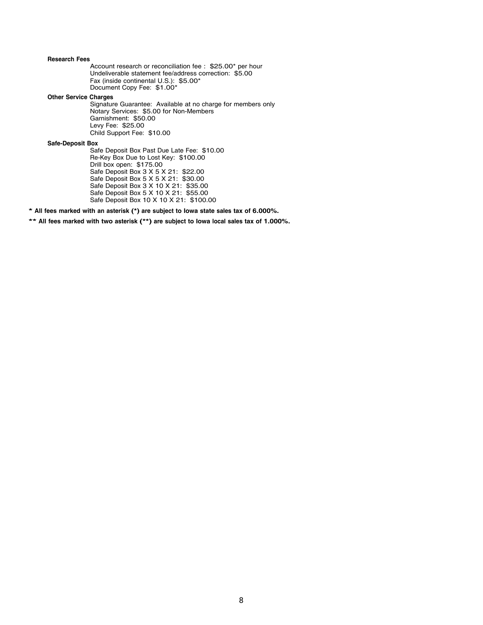### **Research Fees**

Account research or reconciliation fee : \$25.00\* per hour Undeliverable statement fee/address correction: \$5.00 Fax (inside continental U.S.): \$5.00\* Document Copy Fee: \$1.00\*

**Other Service Charges**

Signature Guarantee: Available at no charge for members only Notary Services: \$5.00 for Non-Members Garnishment: \$50.00 Levy Fee: \$25.00 Child Support Fee: \$10.00

**Safe-Deposit Box**

Safe Deposit Box Past Due Late Fee: \$10.00 Re-Key Box Due to Lost Key: \$100.00 Drill box open: \$175.00 Safe Deposit Box 3 X 5 X 21: \$22.00 Safe Deposit Box 5 X 5 X 21: \$30.00 Safe Deposit Box 3 X 10 X 21: \$35.00 Safe Deposit Box 5 X 10 X 21: \$55.00 Safe Deposit Box 10 X 10 X 21: \$100.00

**\* All fees marked with an asterisk (\*) are subject to Iowa state sales tax of 6.000%.**

**\*\* All fees marked with two asterisk (\*\*) are subject to Iowa local sales tax of 1.000%.**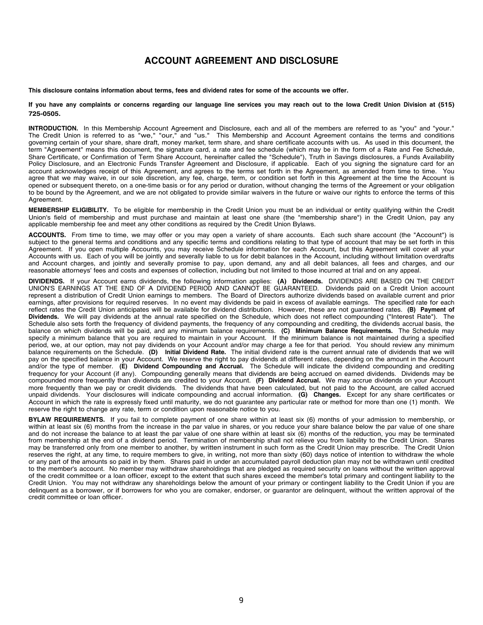## <span id="page-8-0"></span>**Balance Information:** We use the daily balance method to calculate the dividends on the account. This method applies a daily periodic rate to **ACCOUNT AGREEMENT AND DISCLOSURE**

This disclosure southing information shout towns. *foco and dividend when fou some of the secounts we offer* This disclosure contains information about terms, fees and dividend rates for some of the accounts we offer.

debit card or similar or separate providing our language line semines you may week out to the love Credit Union Division at (E1E) If you have any complaints or concerns regarding our language line services you may reach out to the Iowa Credit Union Division at (515) **725-0505.**

**INTRODUCTION.** In this Membership Account Agreement and Disclosure, each and all of the members are referred to as "you" and "your." The Credit Union is referred to as "we," "our," and "us." This Membership and Account Agreement contains the terms and conditions governing certain of your share, share draft, money market, term share, and share certificate accounts with us. As used in this document, the term "Agreement" means this document, the signature card, a rate and fee schedule (which may be in the form of a Rate and Fee Schedule, Share Certificate, or Confirmation of Term Share Account, hereinafter called the "Schedule"), Truth in Savings disclosures, a Funds Availability Policy Disclosure, and an Electronic Funds Transfer Agreement and Disclosure, if applicable. Each of you signing the signature card for an account acknowledges receipt of this Agreement, and agrees to the terms set forth in the Agreement, as amended from time to time. You agree that we may waive, in our sole discretion, any fee, charge, term, or condition set forth in this Agreement at the time the Account is opened or subsequent thereto, on a one-time basis or for any period or duration, without changing the terms of the Agreement or your obligation to be bound by the Agreement, and we are not obligated to provide similar waivers in the future or waive our rights to enforce the terms of this Agreement. dividend rate on the account the account of dividend to provide binning waivers in the rature on wave our rights to emblook including or this

Agreement.<br>**MEMBERSHIP ELIGIBILITY**. To be eligible for membership in the Credit Union you must be an individual or entity qualifying within the Credit Union's field of membership and must purchase and maintain at least one share (the "membership share") in the Credit Union, pay any applicable membership fee and meet any other conditions as required by the Credit Union Bylaws.

applicable incriberemptice and meet any other conditions as required by the erectional bytaws.<br>ACCOUNTS. From time to time, we may offer or you may open a variety of share accounts. Each such share account (the "Account") subject to the general terms and conditions and any specific terms and conditions relating to that type of account that may be set forth in this Agreement. If you open multiple Accounts, you may receive Schedule information for each Account, but this Agreement will cover all your Accounts with us. Each of you will be jointly and severally liable to us for debit balances in the Account, including without limitation overdrafts and Account charges, and jointly and severally promise to pay, upon demand, any and all debit balances, all fees and charges, and our reasonable attorneys' fees and costs and expenses of collection, including but not limited to those incurred at trial and on any appeal.

**DIVIDENDS.** If your Account earns dividends, the following information applies: **(A) Dividends.** DIVIDENDS ARE BASED ON THE CREDIT UNION'S EARNINGS AT THE END OF A DIVIDEND PERIOD AND CANNOT BE GUARANTEED. Dividends paid on a Credit Union account represent a distribution of Credit Union earnings to members. The Board of Directors authorize dividends based on available current and prior earnings, after provisions for required reserves. In no event may dividends be paid in excess of available earnings. The specified rate for each reflect rates the Credit Union anticipates will be available for dividend distribution. However, these are not guaranteed rates. (B) Payment of Dividends. We will pay dividends at the annual rate specified on the Schedule, which does not reflect compounding ("Interest Rate"). The Schedule also sets forth the frequency of dividend payments, the frequency of any compounding and crediting, the dividends accrual basis, the balance on which dividends will be paid, and any minimum balance requirements. (C) Minimum Balance Requirements. The Schedule may specify a minimum balance that you are required to maintain balance requirements. (b) minimum balance requirements. The schedule may period, we, at our option, may not pay dividends on your Account and/or may charge a fee for that period. You should review any minimum balance requirements on the Schedule. (D) Initial Dividend Rate. The initial dividend rate is the current annual rate of dividends that we will pay on the specified balance in your Account. We reserve the right to pay dividends at different rates, depending on the amount in the Account and/or the type of member. **(E) Dividend Compounding and Accrual.** The Schedule will indicate the dividend compounding and crediting frequency for your Account (if any). Compounding generally means that dividends are being accrued on earned dividends. Dividends may be compounded more frequently than dividends are credited to your Account. **(F) Dividend Accrual.** We may accrue dividends on your Account Agreement. more frequently than we pay or credit dividends. The dividends that have been calculated, but not paid to the Account, are called accrued unpaid dividends. Your disclosures will indicate compounding and accrual information. (G) Changes. Except for any share certificates or Account in which the rate is expressly fixed until maturity, we do not guarantee any particular rate or method for more than one (1) month. We reserve the right to change any rate, term or condition upon reasonable notice to you. DIVIDENDS If your Account earns dividends, the following information applies: (A) Dividends. DIVIDENDS ARE BASED ON THE CREDIT BIMBENDS: in your Account came annual messenger increming incompanent appli- $\mu$ opened or subsequent there is  $\mu$  or  $\mu$  or  $\mu$  or  $\mu$  or  $\mu$  and  $\mu$  or  $\mu$  and  $\mu$  and  $\mu$  and  $\mu$  and  $\mu$  and  $\mu$  and  $\mu$  and  $\mu$  and  $\mu$  and  $\mu$  and  $\mu$  and  $\mu$  and  $\mu$  and  $\mu$  and  $\mu$  and  $\mu$  $t_{\text{F6}}$  obligated to be bound by the  $\epsilon$  and  $\epsilon$  and  $\epsilon$  are not obtained to provide the similar measurement of the future of the future of the terms of the terms of the terms of the terms of the terms of this terms

or any part of the amounts so paid in by them. Shares paid in under an accumulated payroll deduction plan may not be withdrawn until credited BYLAW REQUIREMENTS. If you fail to complete payment of one share within at least six (6) months of your admission to membership, or within at least six (6) months from the increase in the par value in shares, or you reduce your share balance below the par value of one share and do not increase the balance to at least the par value of one share within at least six (6) months of the reduction, you may be terminated from membership at the end of a dividend period. Termination of membership shall not relieve you from liability to the Credit Union. Shares may be transferred only from one member to another, by written instrument in such form as the Credit Union may prescribe. The Credit Union to the member's account. No member may withdraw shareholdings that are pledged as required security on loans without the written approval of the credit committee or a loan officer, except to the extent that such shares exceed the member's total primary and contingent liability to the Credit Union. You may not withdraw any shareholdings below the amount of your primary or contingent liability to the Credit Union if you are delinquent as a borrower, or if borrowers for who you are comaker, endorser, or guarantor are delinquent, without the written approval of the **Dividends at Schedule, on the annual rate of the annual rate secondary, englished at the annual rate interest approval or the credit committee or loan officer.** Schedule also sets forth the frequency of dividend payments, the frequency of any compounding and crediting, the dividends accrual basis, the reserves the right, at any time, to require members to give, in writing, not more than sixty (60) days notice of intention to withdraw the whole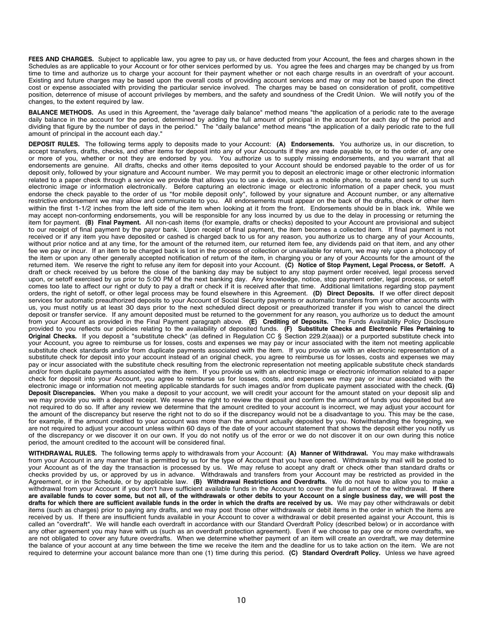**FEES AND CHARGES.** Subject to applicable law, you agree to pay us, or have deducted from your Account, the fees and charges shown in the Schedules as are applicable to your Account or for other services performed by us. You agree the fees and charges may be changed by us from time to time and authorize us to charge your account for their payment whether or not each charge results in an overdraft of your account. Existing and future charges may be based upon the overall costs of providing account services and may or may not be based upon the direct cost or expense associated with providing the particular service involved. The charges may be based on consideration of profit, competitive position, deterrence of misuse of account privileges by members, and the safety and soundness of the Credit Union. We will notify you of the changes, to the extent required by law.

**BALANCE METHODS.** As used in this Agreement, the "average daily balance" method means "the application of a periodic rate to the average daily balance in the account for the period, determined by adding the full amount of principal in the account for each day of the period and dividing that figure by the number of days in the period." The "daily balance" method means "the application of a daily periodic rate to the full amount of principal in the account each day."

**DEPOSIT RULES.** The following terms apply to deposits made to your Account: **(A) Endorsements.** You authorize us, in our discretion, to accept transfers, drafts, checks, and other items for deposit into any of your Accounts if they are made payable to, or to the order of, any one or more of you, whether or not they are endorsed by you. You authorize us to supply missing endorsements, and you warrant that all endorsements are genuine. All drafts, checks and other items deposited to your Account should be endorsed payable to the order of us for deposit only, followed by your signature and Account number. We may permit you to deposit an electronic image or other electronic information related to a paper check through a service we provide that allows you to use a device, such as a mobile phone, to create and send to us such electronic image or information electronically. Before capturing an electronic image or electronic information of a paper check, you must endorse the check payable to the order of us "for mobile deposit only", followed by your signature and Account number, or any alternative restrictive endorsement we may allow and communicate to you. All endorsements must appear on the back of the drafts, check or other item within the first 1-1/2 inches from the left side of the item when looking at it from the front. Endorsements should be in black ink. While we may accept non-conforming endorsements, you will be responsible for any loss incurred by us due to the delay in processing or returning the item for payment. **(B) Final Payment.** All non-cash items (for example, drafts or checks) deposited to your Account are provisional and subject to our receipt of final payment by the payor bank. Upon receipt of final payment, the item becomes a collected item. If final payment is not received or if any item you have deposited or cashed is charged back to us for any reason, you authorize us to charge any of your Accounts, without prior notice and at any time, for the amount of the returned item, our returned item fee, any dividends paid on that item, and any other fee we pay or incur. If an item to be charged back is lost in the process of collection or unavailable for return, we may rely upon a photocopy of the item or upon any other generally accepted notification of return of the item, in charging you or any of your Accounts for the amount of the returned item. We reserve the right to refuse any item for deposit into your Account. **(C) Notice of Stop Payment, Legal Process, or Setoff.** A draft or check received by us before the close of the banking day may be subject to any stop payment order received, legal process served upon, or setoff exercised by us prior to 5:00 PM of the next banking day. Any knowledge, notice, stop payment order, legal process, or setoff comes too late to affect our right or duty to pay a draft or check if it is received after that time. Additional limitations regarding stop payment orders, the right of setoff, or other legal process may be found elsewhere in this Agreement. **(D) Direct Deposits.** If we offer direct deposit services for automatic preauthorized deposits to your Account of Social Security payments or automatic transfers from your other accounts with us, you must notify us at least 30 days prior to the next scheduled direct deposit or preauthorized transfer if you wish to cancel the direct deposit or transfer service. If any amount deposited must be returned to the government for any reason, you authorize us to deduct the amount from your Account as provided in the Final Payment paragraph above. **(E) Crediting of Deposits.** The Funds Availability Policy Disclosure provided to you reflects our policies relating to the availability of deposited funds. **(F) Substitute Checks and Electronic Files Pertaining to Original Checks.** If you deposit a "substitute check" (as defined in Regulation CC § Section 229.2(aaa)) or a purported substitute check into your Account, you agree to reimburse us for losses, costs and expenses we may pay or incur associated with the item not meeting applicable substitute check standards and/or from duplicate payments associated with the item. If you provide us with an electronic representation of a substitute check for deposit into your account instead of an original check, you agree to reimburse us for losses, costs and expenses we may pay or incur associated with the substitute check resulting from the electronic representation not meeting applicable substitute check standards and/or from duplicate payments associated with the item. If you provide us with an electronic image or electronic information related to a paper check for deposit into your Account, you agree to reimburse us for losses, costs, and expenses we may pay or incur associated with the electronic image or information not meeting applicable standards for such images and/or from duplicate payment associated with the check. **(G) Deposit Discrepancies.** When you make a deposit to your account, we will credit your account for the amount stated on your deposit slip and we may provide you with a deposit receipt. We reserve the right to review the deposit and confirm the amount of funds you deposited but are not required to do so. If after any review we determine that the amount credited to your account is incorrect, we may adjust your account for the amount of the discrepancy but reserve the right not to do so if the discrepancy would not be a disadvantage to you. This may be the case, for example, if the amount credited to your account was more than the amount actually deposited by you. Notwithstanding the foregoing, we are not required to adjust your account unless within 60 days of the date of your account statement that shows the deposit either you notify us of the discrepancy or we discover it on our own. If you do not notify us of the error or we do not discover it on our own during this notice period, the amount credited to the account will be considered final.

**WITHDRAWAL RULES.** The following terms apply to withdrawals from your Account: **(A) Manner of Withdrawal.** You may make withdrawals from your Account in any manner that is permitted by us for the type of Account that you have opened. Withdrawals by mail will be posted to your Account as of the day the transaction is processed by us. We may refuse to accept any draft or check other than standard drafts or checks provided by us, or approved by us in advance. Withdrawals and transfers from your Account may be restricted as provided in the Agreement, or in the Schedule, or by applicable law. **(B) Withdrawal Restrictions and Overdrafts.** We do not have to allow you to make a withdrawal from your Account if you don't have sufficient available funds in the Account to cover the full amount of the withdrawal. **If there** are available funds to cover some, but not all, of the withdrawals or other debits to your Account on a single business day, we will post the drafts for which there are sufficient available funds in the order in which the drafts are received by us. We may pay other withdrawals or debit items (such as charges) prior to paying any drafts, and we may post those other withdrawals or debit items in the order in which the items are received by us. If there are insufficient funds available in your Account to cover a withdrawal or debit presented against your Account, this is called an "overdraft". We will handle each overdraft in accordance with our Standard Overdraft Policy (described below) or in accordance with any other agreement you may have with us (such as an overdraft protection agreement). Even if we choose to pay one or more overdrafts, we are not obligated to cover any future overdrafts. When we determine whether payment of an item will create an overdraft, we may determine the balance of your account at any time between the time we receive the item and the deadline for us to take action on the item. We are not required to determine your account balance more than one (1) time during this period. **(C) Standard Overdraft Policy.** Unless we have agreed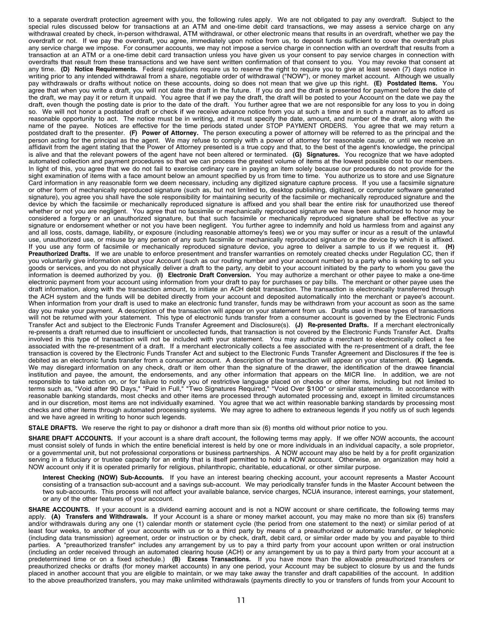to a separate overdraft protection agreement with you, the following rules apply. We are not obligated to pay any overdraft. Subject to the special rules discussed below for transactions at an ATM and one-time debit card transactions, we may assess a service charge on any withdrawal created by check, in-person withdrawal, ATM withdrawal, or other electronic means that results in an overdraft, whether we pay the overdraft or not. If we pay the overdraft, you agree, immediately upon notice from us, to deposit funds sufficient to cover the overdraft plus any service charge we impose. For consumer accounts, we may not impose a service charge in connection with an overdraft that results from a transaction at an ATM or a one-time debit card transaction unless you have given us your consent to pay service charges in connection with overdrafts that result from these transactions and we have sent written confirmation of that consent to you. You may revoke that consent at any time. **(D) Notice Requirements.** Federal regulations require us to reserve the right to require you to give at least seven (7) days notice in writing prior to any intended withdrawal from a share, negotiable order of withdrawal ("NOW"), or money market account. Although we usually pay withdrawals or drafts without notice on these accounts, doing so does not mean that we give up this right. **(E) Postdated Items.** You agree that when you write a draft, you will not date the draft in the future. If you do and the draft is presented for payment before the date of the draft, we may pay it or return it unpaid. You agree that if we pay the draft, the draft will be posted to your Account on the date we pay the draft, even though the posting date is prior to the date of the draft. You further agree that we are not responsible for any loss to you in doing so. We will not honor a postdated draft or check if we receive advance notice from you at such a time and in such a manner as to afford us reasonable opportunity to act. The notice must be in writing, and it must specify the date, amount, and number of the draft, along with the name of the payee. Notices are effective for the time periods stated under STOP PAYMENT ORDERS. You agree that we may return a postdated draft to the presenter. **(F) Power of Attorney.** The person executing a power of attorney will be referred to as the principal and the person acting for the principal as the agent. We may refuse to comply with a power of attorney for reasonable cause, or until we receive an affidavit from the agent stating that the Power of Attorney presented is a true copy and that, to the best of the agent's knowledge, the principal is alive and that the relevant powers of the agent have not been altered or terminated. **(G) Signatures.** You recognize that we have adopted automated collection and payment procedures so that we can process the greatest volume of items at the lowest possible cost to our members. In light of this, you agree that we do not fail to exercise ordinary care in paying an item solely because our procedures do not provide for the sight examination of items with a face amount below an amount specified by us from time to time. You authorize us to store and use Signature Card information in any reasonable form we deem necessary, including any digitized signature capture process. If you use a facsimile signature or other form of mechanically reproduced signature (such as, but not limited to, desktop publishing, digitized, or computer software generated signature), you agree you shall have the sole responsibility for maintaining security of the facsimile or mechanically reproduced signature and the device by which the facsimile or mechanically reproduced signature is affixed and you shall bear the entire risk for unauthorized use thereof whether or not you are negligent. You agree that no facsimile or mechanically reproduced signature we have been authorized to honor may be considered a forgery or an unauthorized signature, but that such facsimile or mechanically reproduced signature shall be effective as your signature or endorsement whether or not you have been negligent. You further agree to indemnify and hold us harmless from and against any and all loss, costs, damage, liability, or exposure (including reasonable attorney's fees) we or you may suffer or incur as a result of the unlawful use, unauthorized use, or misuse by any person of any such facsimile or mechanically reproduced signature or the device by which it is affixed. If you use any form of facsimile or mechanically reproduced signature device, you agree to deliver a sample to us if we request it. **(H) Preauthorized Drafts.** If we are unable to enforce presentment and transfer warranties on remotely created checks under Regulation CC, then if you voluntarily give information about your Account (such as our routing number and your account number) to a party who is seeking to sell you goods or services, and you do not physically deliver a draft to the party, any debit to your account initiated by the party to whom you gave the information is deemed authorized by you. **(I) Electronic Draft Conversion.** You may authorize a merchant or other payee to make a one-time electronic payment from your account using information from your draft to pay for purchases or pay bills. The merchant or other payee uses the draft information, along with the transaction amount, to initiate an ACH debit transaction. The transaction is electronically transferred through the ACH system and the funds will be debited directly from your account and deposited automatically into the merchant or payee's account. When information from your draft is used to make an electronic fund transfer, funds may be withdrawn from your account as soon as the same day you make your payment. A description of the transaction will appear on your statement from us. Drafts used in these types of transactions will not be returned with your statement. This type of electronic funds transfer from a consumer account is governed by the Electronic Funds Transfer Act and subject to the Electronic Funds Transfer Agreement and Disclosure(s). **(J) Re-presented Drafts.** If a merchant electronically re-presents a draft returned due to insufficient or uncollected funds, that transaction is not covered by the Electronic Funds Transfer Act. Drafts involved in this type of transaction will not be included with your statement. You may authorize a merchant to electronically collect a fee associated with the re-presentment of a draft. If a merchant electronically collects a fee associated with the re-presentment of a draft, the fee transaction is covered by the Electronic Funds Transfer Act and subject to the Electronic Funds Transfer Agreement and Disclosures if the fee is debited as an electronic funds transfer from a consumer account. A description of the transaction will appear on your statement. **(K) Legends.** We may disregard information on any check, draft or item other than the signature of the drawer, the identification of the drawee financial institution and payee, the amount, the endorsements, and any other information that appears on the MICR line. In addition, we are not responsible to take action on, or for failure to notify you of restrictive language placed on checks or other items, including but not limited to terms such as, "Void after 90 Days," "Paid in Full," "Two Signatures Required," "Void Over \$100" or similar statements. In accordance with reasonable banking standards, most checks and other items are processed through automated processing and, except in limited circumstances and in our discretion, most items are not individually examined. You agree that we act within reasonable banking standards by processing most checks and other items through automated processing systems. We may agree to adhere to extraneous legends if you notify us of such legends and we have agreed in writing to honor such legends.

**STALE DRAFTS.** We reserve the right to pay or dishonor a draft more than six (6) months old without prior notice to you.

**SHARE DRAFT ACCOUNTS.** If your account is a share draft account, the following terms may apply. If we offer NOW accounts, the account must consist solely of funds in which the entire beneficial interest is held by one or more individuals in an individual capacity, a sole proprietor, or a governmental unit, but not professional corporations or business partnerships. A NOW account may also be held by a for profit organization serving in a fiduciary or trustee capacity for an entity that is itself permitted to hold a NOW account. Otherwise, an organization may hold a NOW account only if it is operated primarily for religious, philanthropic, charitable, educational, or other similar purpose.

**Interest Checking (NOW) Sub-Accounts.** If you have an interest bearing checking account, your account represents a Master Account consisting of a transaction sub-account and a savings sub-account. We may periodically transfer funds in the Master Account between the two sub-accounts. This process will not affect your available balance, service charges, NCUA insurance, interest earnings, your statement, or any of the other features of your account.

**SHARE ACCOUNTS.** If your account is a dividend earning account and is not a NOW account or share certificate, the following terms may apply. **(A) Transfers and Withdrawals.** If your Account is a share or money market account, you may make no more than six (6) transfers and/or withdrawals during any one (1) calendar month or statement cycle (the period from one statement to the next) or similar period of at least four weeks, to another of your accounts with us or to a third party by means of a preauthorized or automatic transfer, or telephonic (including data transmission) agreement, order or instruction or by check, draft, debit card, or similar order made by you and payable to third parties. A "preauthorized transfer" includes any arrangement by us to pay a third party from your account upon written or oral instruction (including an order received through an automated clearing house (ACH) or any arrangement by us to pay a third party from your account at a predetermined time or on a fixed schedule.) **(B) Excess Transactions.** If you have more than the allowable preauthorized transfers or preauthorized checks or drafts (for money market accounts) in any one period, your Account may be subject to closure by us and the funds placed in another account that you are eligible to maintain, or we may take away the transfer and draft capabilities of the account. In addition to the above preauthorized transfers, you may make unlimited withdrawals (payments directly to you or transfers of funds from your Account to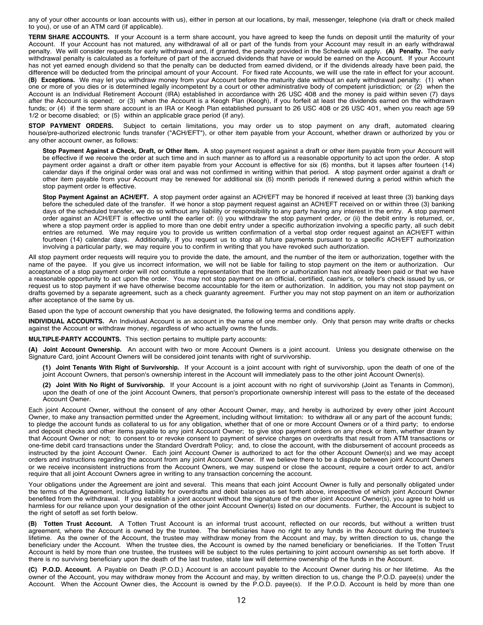any of your other accounts or loan accounts with us), either in person at our locations, by mail, messenger, telephone (via draft or check mailed to you), or use of an ATM card (if applicable).

**TERM SHARE ACCOUNTS.** If your Account is a term share account, you have agreed to keep the funds on deposit until the maturity of your Account. If your Account has not matured, any withdrawal of all or part of the funds from your Account may result in an early withdrawal penalty. We will consider requests for early withdrawal and, if granted, the penalty provided in the Schedule will apply. **(A) Penalty.** The early withdrawal penalty is calculated as a forfeiture of part of the accrued dividends that have or would be earned on the Account. If your Account has not yet earned enough dividend so that the penalty can be deducted from earned dividend, or if the dividends already have been paid, the difference will be deducted from the principal amount of your Account. For fixed rate Accounts, we will use the rate in effect for your account. **(B) Exceptions.** We may let you withdraw money from your Account before the maturity date without an early withdrawal penalty: (1) when one or more of you dies or is determined legally incompetent by a court or other administrative body of competent jurisdiction; or (2) when the Account is an Individual Retirement Account (IRA) established in accordance with 26 USC 408 and the money is paid within seven (7) days after the Account is opened; or (3) when the Account is a Keogh Plan (Keogh), if you forfeit at least the dividends earned on the withdrawn funds; or (4) if the term share account is an IRA or Keogh Plan established pursuant to 26 USC 408 or 26 USC 401, when you reach age 59 1/2 or become disabled; or (5) within an applicable grace period (if any).

**STOP PAYMENT ORDERS.** Subject to certain limitations, you may order us to stop payment on any draft, automated clearing house/pre-authorized electronic funds transfer ("ACH/EFT"), or other item payable from your Account, whether drawn or authorized by you or any other account owner, as follows:

**Stop Payment Against a Check, Draft, or Other Item.** A stop payment request against a draft or other item payable from your Account will be effective if we receive the order at such time and in such manner as to afford us a reasonable opportunity to act upon the order. A stop payment order against a draft or other item payable from your Account is effective for six (6) months, but it lapses after fourteen (14) calendar days if the original order was oral and was not confirmed in writing within that period. A stop payment order against a draft or other item payable from your Account may be renewed for additional six (6) month periods if renewed during a period within which the stop payment order is effective.

**Stop Payment Against an ACH/EFT.** A stop payment order against an ACH/EFT may be honored if received at least three (3) banking days before the scheduled date of the transfer. If we honor a stop payment request against an ACH/EFT received on or within three (3) banking days of the scheduled transfer, we do so without any liability or responsibility to any party having any interest in the entry. A stop payment order against an ACH/EFT is effective until the earlier of: (i) you withdraw the stop payment order, or (ii) the debit entry is returned, or, where a stop payment order is applied to more than one debit entry under a specific authorization involving a specific party, all such debit entries are returned. We may require you to provide us written confirmation of a verbal stop order request against an ACH/EFT within fourteen (14) calendar days. Additionally, if you request us to stop all future payments pursuant to a specific ACH/EFT authorization involving a particular party, we may require you to confirm in writing that you have revoked such authorization.

All stop payment order requests will require you to provide the date, the amount, and the number of the item or authorization, together with the name of the payee. If you give us incorrect information, we will not be liable for failing to stop payment on the item or authorization. Our acceptance of a stop payment order will not constitute a representation that the item or authorization has not already been paid or that we have a reasonable opportunity to act upon the order. You may not stop payment on an official, certified, cashier's, or teller's check issued by us, or request us to stop payment if we have otherwise become accountable for the item or authorization. In addition, you may not stop payment on drafts governed by a separate agreement, such as a check guaranty agreement. Further you may not stop payment on an item or authorization after acceptance of the same by us.

Based upon the type of account ownership that you have designated, the following terms and conditions apply.

**INDIVIDUAL ACCOUNTS.** An Individual Account is an account in the name of one member only. Only that person may write drafts or checks against the Account or withdraw money, regardless of who actually owns the funds.

**MULTIPLE-PARTY ACCOUNTS.** This section pertains to multiple party accounts:

**(A) Joint Account Ownership.** An account with two or more Account Owners is a joint account. Unless you designate otherwise on the Signature Card, joint Account Owners will be considered joint tenants with right of survivorship.

- **(1) Joint Tenants With Right of Survivorship.** If your Account is a joint account with right of survivorship, upon the death of one of the joint Account Owners, that person's ownership interest in the Account will immediately pass to the other joint Account Owner(s).
- **(2) Joint With No Right of Survivorship.** If your Account is a joint account with no right of survivorship (Joint as Tenants in Common), upon the death of one of the joint Account Owners, that person's proportionate ownership interest will pass to the estate of the deceased Account Owner.

Each joint Account Owner, without the consent of any other Account Owner, may, and hereby is authorized by every other joint Account Owner, to make any transaction permitted under the Agreement, including without limitation: to withdraw all or any part of the account funds; to pledge the account funds as collateral to us for any obligation, whether that of one or more Account Owners or of a third party; to endorse and deposit checks and other items payable to any joint Account Owner; to give stop payment orders on any check or item, whether drawn by that Account Owner or not; to consent to or revoke consent to payment of service charges on overdrafts that result from ATM transactions or one-time debit card transactions under the Standard Overdraft Policy; and, to close the account, with the disbursement of account proceeds as instructed by the joint Account Owner. Each joint Account Owner is authorized to act for the other Account Owner(s) and we may accept orders and instructions regarding the account from any joint Account Owner. If we believe there to be a dispute between joint Account Owners or we receive inconsistent instructions from the Account Owners, we may suspend or close the account, require a court order to act, and/or require that all joint Account Owners agree in writing to any transaction concerning the account.

Your obligations under the Agreement are joint and several. This means that each joint Account Owner is fully and personally obligated under the terms of the Agreement, including liability for overdrafts and debit balances as set forth above, irrespective of which joint Account Owner benefited from the withdrawal. If you establish a joint account without the signature of the other joint Account Owner(s), you agree to hold us harmless for our reliance upon your designation of the other joint Account Owner(s) listed on our documents. Further, the Account is subject to the right of setoff as set forth below.

**(B) Totten Trust Account.** A Totten Trust Account is an informal trust account, reflected on our records, but without a written trust agreement, where the Account is owned by the trustee. The beneficiaries have no right to any funds in the Account during the trustee's lifetime. As the owner of the Account, the trustee may withdraw money from the Account and may, by written direction to us, change the beneficiary under the Account. When the trustee dies, the Account is owned by the named beneficiary or beneficiaries. If the Totten Trust Account is held by more than one trustee, the trustees will be subject to the rules pertaining to joint account ownership as set forth above. If there is no surviving beneficiary upon the death of the last trustee, state law will determine ownership of the funds in the Account.

**(C) P.O.D. Account.** A Payable on Death (P.O.D.) Account is an account payable to the Account Owner during his or her lifetime. As the owner of the Account, you may withdraw money from the Account and may, by written direction to us, change the P.O.D. payee(s) under the Account. When the Account Owner dies, the Account is owned by the P.O.D. payee(s). If the P.O.D. Account is held by more than one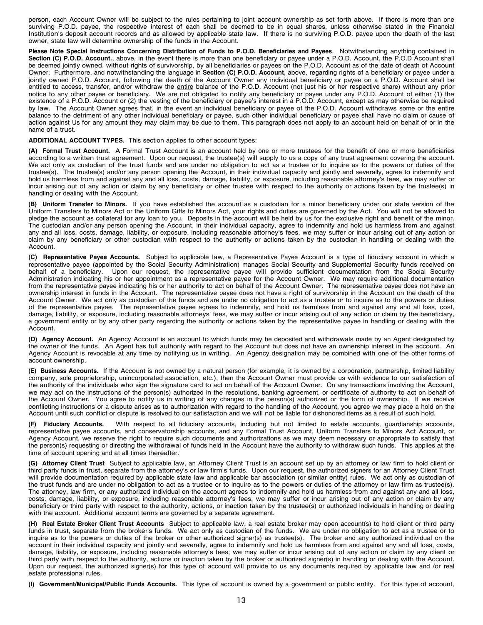person, each Account Owner will be subject to the rules pertaining to joint account ownership as set forth above. If there is more than one surviving P.O.D. payee, the respective interest of each shall be deemed to be in equal shares, unless otherwise stated in the Financial Institution's deposit account records and as allowed by applicable state law. If there is no surviving P.O.D. payee upon the death of the last owner, state law will determine ownership of the funds in the Account.

Please Note Special Instructions Concerning Distribution of Funds to P.O.D. Beneficiaries and Payees. Notwithstanding anything contained in **Section (C) P.O.D. Account.**, above, in the event there is more than one beneficiary or payee under a P.O.D. Account, the P.O.D Account shall be deemed jointly owned, without rights of survivorship, by all beneficiaries or payees on the P.O.D. Account as of the date of death of Account Owner. Furthermore, and notwithstanding the language in **Section (C) P.O.D. Account,** above, regarding rights of a beneficiary or payee under a jointly owned P.O.D. Account, following the death of the Account Owner any individual beneficiary or payee on a P.O.D. Account shall be entitled to access, transfer, and/or withdraw the entire balance of the P.O.D. Account (not just his or her respective share) without any prior notice to any other payee or beneficiary. We are not obligated to notify any beneficiary or payee under any P.O.D. Account of either (1) the existence of a P.O.D. Account or (2) the vesting of the beneficiary or payee's interest in a P.O.D. Account, except as may otherwise be required by law. The Account Owner agrees that, in the event an individual beneficiary or payee of the P.O.D. Account withdraws some or the entire balance to the detriment of any other individual beneficiary or payee, such other individual beneficiary or payee shall have no claim or cause of action against Us for any amount they may claim may be due to them. This paragraph does not apply to an account held on behalf of or in the name of a trust.

**ADDITIONAL ACCOUNT TYPES.** This section applies to other account types:

**(A) Formal Trust Account.** A Formal Trust Account is an account held by one or more trustees for the benefit of one or more beneficiaries according to a written trust agreement. Upon our request, the trustee(s) will supply to us a copy of any trust agreement covering the account. We act only as custodian of the trust funds and are under no obligation to act as a trustee or to inquire as to the powers or duties of the trustee(s). The trustee(s) and/or any person opening the Account, in their individual capacity and jointly and severally, agree to indemnify and hold us harmless from and against any and all loss, costs, damage, liability, or exposure, including reasonable attorney's fees, we may suffer or incur arising out of any action or claim by any beneficiary or other trustee with respect to the authority or actions taken by the trustee(s) in handling or dealing with the Account.

**(B) Uniform Transfer to Minors.** If you have established the account as a custodian for a minor beneficiary under our state version of the Uniform Transfers to Minors Act or the Uniform Gifts to Minors Act, your rights and duties are governed by the Act. You will not be allowed to pledge the account as collateral for any loan to you. Deposits in the account will be held by us for the exclusive right and benefit of the minor. The custodian and/or any person opening the Account, in their individual capacity, agree to indemnify and hold us harmless from and against any and all loss, costs, damage, liability, or exposure, including reasonable attorney's fees, we may suffer or incur arising out of any action or claim by any beneficiary or other custodian with respect to the authority or actions taken by the custodian in handling or dealing with the Account.

**(C) Representative Payee Accounts.** Subject to applicable law, a Representative Payee Account is a type of fiduciary account in which a representative payee (appointed by the Social Security Administration) manages Social Security and Supplemental Security funds received on behalf of a beneficiary. Upon our request, the representative payee will provide su Upon our request, the representative payee will provide sufficient documentation from the Social Security Administration indicating his or her appointment as a representative payee for the Account Owner. We may require additional documentation from the representative payee indicating his or her authority to act on behalf of the Account Owner. The representative payee does not have an ownership interest in funds in the Account. The representative payee does not have a right of survivorship in the Account on the death of the Account Owner. We act only as custodian of the funds and are under no obligation to act as a trustee or to inquire as to the powers or duties of the representative payee. The representative payee agrees to indemnify, and hold us harmless from and against any and all loss, cost, damage, liability, or exposure, including reasonable attorneys' fees, we may suffer or incur arising out of any action or claim by the beneficiary, a government entity or by any other party regarding the authority or actions taken by the representative payee in handling or dealing with the Account.

**(D) Agency Account.** An Agency Account is an account to which funds may be deposited and withdrawals made by an Agent designated by the owner of the funds. An Agent has full authority with regard to the Account but does not have an ownership interest in the account. An Agency Account is revocable at any time by notifying us in writing. An Agency designation may be combined with one of the other forms of account ownership.

**(E) Business Accounts.** If the Account is not owned by a natural person (for example, it is owned by a corporation, partnership, limited liability company, sole proprietorship, unincorporated association, etc.), then the Account Owner must provide us with evidence to our satisfaction of the authority of the individuals who sign the signature card to act on behalf of the Account Owner. On any transactions involving the Account, we may act on the instructions of the person(s) authorized in the resolutions, banking agreement, or certificate of authority to act on behalf of the Account Owner. You agree to notify us in writing of any changes in the person(s) authorized or the form of ownership. If we receive conflicting instructions or a dispute arises as to authorization with regard to the handling of the Account, you agree we may place a hold on the Account until such conflict or dispute is resolved to our satisfaction and we will not be liable for dishonored items as a result of such hold.

**(F) Fiduciary Accounts.** With respect to all fiduciary accounts, including but not limited to estate accounts, guardianship accounts, representative payee accounts, and conservatorship accounts, and any Formal Trust Account, Uniform Transfers to Minors Act Account, or Agency Account, we reserve the right to require such documents and authorizations as we may deem necessary or appropriate to satisfy that the person(s) requesting or directing the withdrawal of funds held in the Account have the authority to withdraw such funds. This applies at the time of account opening and at all times thereafter.

**(G) Attorney Client Trust** Subject to applicable law, an Attorney Client Trust is an account set up by an attorney or law firm to hold client or third party funds in trust, separate from the attorney's or law firm's funds. Upon our request, the authorized signers for an Attorney Client Trust will provide documentation required by applicable state law and applicable bar association (or similar entity) rules. We act only as custodian of the trust funds and are under no obligation to act as a trustee or to inquire as to the powers or duties of the attorney or law firm as trustee(s). The attorney, law firm, or any authorized individual on the account agrees to indemnify and hold us harmless from and against any and all loss, costs, damage, liability, or exposure, including reasonable attorney's fees, we may suffer or incur arising out of any action or claim by any beneficiary or third party with respect to the authority, actions, or inaction taken by the trustee(s) or authorized individuals in handling or dealing with the account. Additional account terms are governed by a separate agreement.

**(H) Real Estate Broker Client Trust Accounts** Subject to applicable law, a real estate broker may open account(s) to hold client or third party funds in trust, separate from the broker's funds. We act only as custodian of the funds. We are under no obligation to act as a trustee or to inquire as to the powers or duties of the broker or other authorized signer(s) as trustee(s). The broker and any authorized individual on the account in their individual capacity and jointly and severally, agree to indemnify and hold us harmless from and against any and all loss, costs, damage, liability, or exposure, including reasonable attorney's fees, we may suffer or incur arising out of any action or claim by any client or third party with respect to the authority, actions or inaction taken by the broker or authorized signer(s) in handling or dealing with the Account. Upon our request, the authorized signer(s) for this type of account will provide to us any documents required by applicable law and /or real estate professional rules.

**(I) Government/Municipal/Public Funds Accounts.** This type of account is owned by a government or public entity. For this type of account,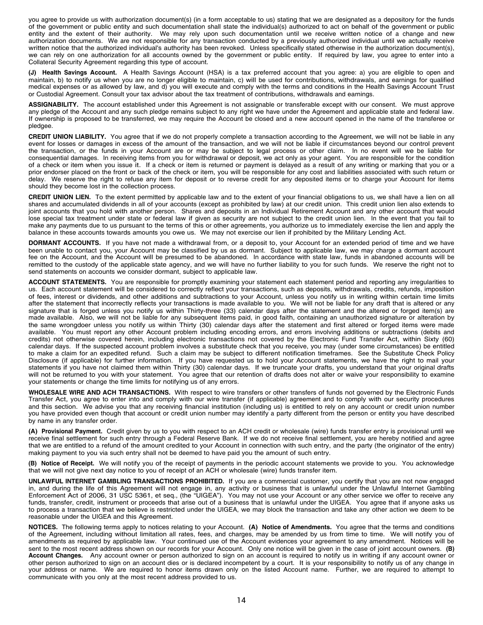you agree to provide us with authorization document(s) (in a form acceptable to us) stating that we are designated as a depository for the funds of the government or public entity and such documentation shall state the individual(s) authorized to act on behalf of the government or public entity and the extent of their authority. We may rely upon such documentation until we receive written notice of a change and new authorization documents. We are not responsible for any transaction conducted by a previously authorized individual until we actually receive written notice that the authorized individual's authority has been revoked. Unless specifically stated otherwise in the authorization document(s), we can rely on one authorization for all accounts owned by the government or public entity. If required by law, you agree to enter into a Collateral Security Agreement regarding this type of account.

**(J) Health Savings Account.** A Health Savings Account (HSA) is a tax preferred account that you agree: a) you are eligible to open and maintain, b) to notify us when you are no longer eligible to maintain, c) will be used for contributions, withdrawals, and earnings for qualified medical expenses or as allowed by law, and d) you will execute and comply with the terms and conditions in the Health Savings Account Trust or Custodial Agreement. Consult your tax advisor about the tax treatment of contributions, withdrawals and earnings.

**ASSIGNABILITY.** The account established under this Agreement is not assignable or transferable except with our consent. We must approve any pledge of the Account and any such pledge remains subject to any right we have under the Agreement and applicable state and federal law. If ownership is proposed to be transferred, we may require the Account be closed and a new account opened in the name of the transferee or pledgee.

**CREDIT UNION LIABILITY.** You agree that if we do not properly complete a transaction according to the Agreement, we will not be liable in any event for losses or damages in excess of the amount of the transaction, and we will not be liable if circumstances beyond our control prevent the transaction, or the funds in your Account are or may be subject to legal process or other claim. In no event will we be liable for consequential damages. In receiving items from you for withdrawal or deposit, we act only as your agent. You are responsible for the condition of a check or item when you issue it. If a check or item is returned or payment is delayed as a result of any writing or marking that you or a prior endorser placed on the front or back of the check or item, you will be responsible for any cost and liabilities associated with such return or delay. We reserve the right to refuse any item for deposit or to reverse credit for any deposited items or to charge your Account for items should they become lost in the collection process.

**CREDIT UNION LIEN.** To the extent permitted by applicable law and to the extent of your financial obligations to us, we shall have a lien on all shares and accumulated dividends in all of your accounts (except as prohibited by law) at our credit union. This credit union lien also extends to joint accounts that you hold with another person. Shares and deposits in an Individual Retirement Account and any other account that would lose special tax treatment under state or federal law if given as security are not subject to the credit union lien. In the event that you fail to make any payments due to us pursuant to the terms of this or other agreements, you authorize us to immediately exercise the lien and apply the balance in these accounts towards amounts you owe us. We may not exercise our lien if prohibited by the Military Lending Act.

**DORMANT ACCOUNTS.** If you have not made a withdrawal from, or a deposit to, your Account for an extended period of time and we have been unable to contact you, your Account may be classified by us as dormant. Subject to applicable law, we may charge a dormant account fee on the Account, and the Account will be presumed to be abandoned. In accordance with state law, funds in abandoned accounts will be remitted to the custody of the applicable state agency, and we will have no further liability to you for such funds. We reserve the right not to send statements on accounts we consider dormant, subject to applicable law.

**ACCOUNT STATEMENTS.** You are responsible for promptly examining your statement each statement period and reporting any irregularities to us. Each account statement will be considered to correctly reflect your transactions, such as deposits, withdrawals, credits, refunds, imposition of fees, interest or dividends, and other additions and subtractions to your Account, unless you notify us in writing within certain time limits after the statement that incorrectly reflects your transactions is made available to you. We will not be liable for any draft that is altered or any signature that is forged unless you notify us within Thirty-three (33) calendar days after the statement and the altered or forged item(s) are made available. Also, we will not be liable for any subsequent items paid, in good faith, containing an unauthorized signature or alteration by the same wrongdoer unless you notify us within Thirty (30) calendar days after the statement and first altered or forged items were made available. You must report any other Account problem including encoding errors, and errors involving additions or subtractions (debits and credits) not otherwise covered herein, including electronic transactions not covered by the Electronic Fund Transfer Act, within Sixty (60) calendar days. If the suspected account problem involves a substitute check that you receive, you may (under some circumstances) be entitled to make a claim for an expedited refund. Such a claim may be subject to different notification timeframes. See the Substitute Check Policy Disclosure (if applicable) for further information. If you have requested us to hold your Account statements, we have the right to mail your statements if you have not claimed them within Thirty (30) calendar days. If we truncate your drafts, you understand that your original drafts will not be returned to you with your statement. You agree that our retention of drafts does not alter or waive your responsibility to examine your statements or change the time limits for notifying us of any errors.

**WHOLESALE WIRE AND ACH TRANSACTIONS.** With respect to wire transfers or other transfers of funds not governed by the Electronic Funds Transfer Act, you agree to enter into and comply with our wire transfer (if applicable) agreement and to comply with our security procedures and this section. We advise you that any receiving financial institution (including us) is entitled to rely on any account or credit union number you have provided even though that account or credit union number may identify a party different from the person or entity you have described by name in any transfer order.

**(A) Provisional Payment.** Credit given by us to you with respect to an ACH credit or wholesale (wire) funds transfer entry is provisional until we receive final settlement for such entry through a Federal Reserve Bank. If we do not receive final settlement, you are hereby notified and agree that we are entitled to a refund of the amount credited to your Account in connection with such entry, and the party (the originator of the entry) making payment to you via such entry shall not be deemed to have paid you the amount of such entry.

**(B) Notice of Receipt.** We will notify you of the receipt of payments in the periodic account statements we provide to you. You acknowledge that we will not give next day notice to you of receipt of an ACH or wholesale (wire) funds transfer item.

**UNLAWFUL INTERNET GAMBLING TRANSACTIONS PROHIBITED.** If you are a commercial customer, you certify that you are not now engaged in, and during the life of this Agreement will not engage in, any activity or business that is unlawful under the Unlawful Internet Gambling Enforcement Act of 2006, 31 USC 5361, et seq., (the "UIGEA"). You may not use your Account or any other service we offer to receive any funds, transfer, credit, instrument or proceeds that arise out of a business that is unlawful under the UIGEA. You agree that if anyone asks us to process a transaction that we believe is restricted under the UIGEA, we may block the transaction and take any other action we deem to be reasonable under the UIGEA and this Agreement.

**NOTICES.** The following terms apply to notices relating to your Account. **(A) Notice of Amendments.** You agree that the terms and conditions of the Agreement, including without limitation all rates, fees, and charges, may be amended by us from time to time. We will notify you of amendments as required by applicable law. Your continued use of the Account evidences your agreement to any amendment. Notices will be sent to the most recent address shown on our records for your Account. Only one notice will be given in the case of joint account owners. **(B) Account Changes.** Any account owner or person authorized to sign on an account is required to notify us in writing if any account owner or other person authorized to sign on an account dies or is declared incompetent by a court. It is your responsibility to notify us of any change in your address or name. We are required to honor items drawn only on the listed Account name. Further, we are required to attempt to communicate with you only at the most recent address provided to us.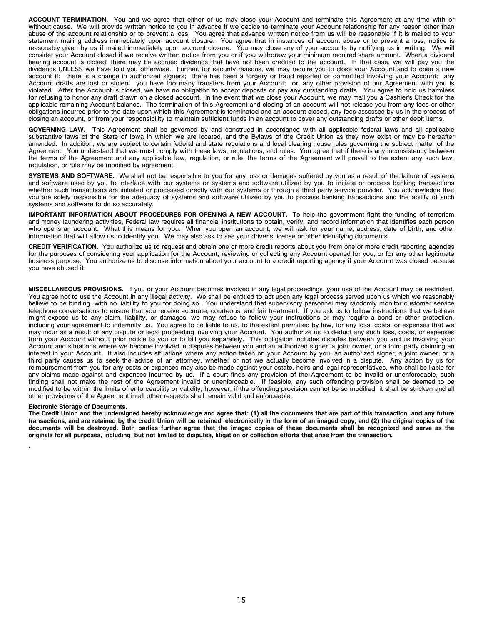**ACCOUNT TERMINATION.** You and we agree that either of us may close your Account and terminate this Agreement at any time with or without cause. We will provide written notice to you in advance if we decide to terminate your Account relationship for any reason other than abuse of the account relationship or to prevent a loss. You agree that advance written notice from us will be reasonable if it is mailed to your statement mailing address immediately upon account closure. You agree that in instances of account abuse or to prevent a loss, notice is reasonably given by us if mailed immediately upon account closure. You may close any of your accounts by notifying us in writing. We will consider your Account closed if we receive written notice from you or if you withdraw your minimum required share amount. When a dividend bearing account is closed, there may be accrued dividends that have not been credited to the account. In that case, we will pay you the dividends UNLESS we have told you otherwise. Further, for security reasons, we may require you to close your Account and to open a new account if: there is a change in authorized signers; there has been a forgery or fraud reported or committed involving your Account; any Account drafts are lost or stolen; you have too many transfers from your Account; or, any other provision of our Agreement with you is violated. After the Account is closed, we have no obligation to accept deposits or pay any outstanding drafts. You agree to hold us harmless for refusing to honor any draft drawn on a closed account. In the event that we close your Account, we may mail you a Cashier's Check for the applicable remaining Account balance. The termination of this Agreement and closing of an account will not release you from any fees or other obligations incurred prior to the date upon which this Agreement is terminated and an account closed, any fees assessed by us in the process of closing an account, or from your responsibility to maintain sufficient funds in an account to cover any outstanding drafts or other debit items.

**GOVERNING LAW.** This Agreement shall be governed by and construed in accordance with all applicable federal laws and all applicable substantive laws of the State of Iowa in which we are located, and the Bylaws of the Credit Union as they now exist or may be hereafter amended. In addition, we are subject to certain federal and state regulations and local clearing house rules governing the subject matter of the Agreement. You understand that we must comply with these laws, regulations, and rules. You agree that if there is any inconsistency between the terms of the Agreement and any applicable law, regulation, or rule, the terms of the Agreement will prevail to the extent any such law, regulation, or rule may be modified by agreement.

**SYSTEMS AND SOFTWARE.** We shall not be responsible to you for any loss or damages suffered by you as a result of the failure of systems and software used by you to interface with our systems or systems and software utilized by you to initiate or process banking transactions whether such transactions are initiated or processed directly with our systems or through a third party service provider. You acknowledge that you are solely responsible for the adequacy of systems and software utilized by you to process banking transactions and the ability of such systems and software to do so accurately.

**IMPORTANT INFORMATION ABOUT PROCEDURES FOR OPENING A NEW ACCOUNT.** To help the government fight the funding of terrorism and money laundering activities, Federal law requires all financial institutions to obtain, verify, and record information that identifies each person who opens an account. What this means for you: When you open an account, we will ask for your name, address, date of birth, and other information that will allow us to identify you. We may also ask to see your driver's license or other identifying documents.

**CREDIT VERIFICATION.** You authorize us to request and obtain one or more credit reports about you from one or more credit reporting agencies for the purposes of considering your application for the Account, reviewing or collecting any Account opened for you, or for any other legitimate business purpose. You authorize us to disclose information about your account to a credit reporting agency if your Account was closed because you have abused it.

**MISCELLANEOUS PROVISIONS.** If you or your Account becomes involved in any legal proceedings, your use of the Account may be restricted. You agree not to use the Account in any illegal activity. We shall be entitled to act upon any legal process served upon us which we reasonably believe to be binding, with no liability to you for doing so. You understand that supervisory personnel may randomly monitor customer service telephone conversations to ensure that you receive accurate, courteous, and fair treatment. If you ask us to follow instructions that we believe might expose us to any claim, liability, or damages, we may refuse to follow your instructions or may require a bond or other protection, including your agreement to indemnify us. You agree to be liable to us, to the extent permitted by law, for any loss, costs, or expenses that we may incur as a result of any dispute or legal proceeding involving your Account. You authorize us to deduct any such loss, costs, or expenses from your Account without prior notice to you or to bill you separately. This obligation includes disputes between you and us involving your Account and situations where we become involved in disputes between you and an authorized signer, a joint owner, or a third party claiming an interest in your Account. It also includes situations where any action taken on your Account by you, an authorized signer, a joint owner, or a third party causes us to seek the advice of an attorney, whether or not we actually become involved in a dispute. Any action by us for reimbursement from you for any costs or expenses may also be made against your estate, heirs and legal representatives, who shall be liable for any claims made against and expenses incurred by us. If a court finds any provision of the Agreement to be invalid or unenforceable, such finding shall not make the rest of the Agreement invalid or unenforceable. If feasible, any such offending provision shall be deemed to be modified to be within the limits of enforceability or validity; however, if the offending provision cannot be so modified, it shall be stricken and all other provisions of the Agreement in all other respects shall remain valid and enforceable.

### **Electronic Storage of Documents.**

The Credit Union and the undersigned hereby acknowledge and agree that: (1) all the documents that are part of this transaction and any future transactions, and are retained by the credit Union will be retained electronically in the form of an imaged copy, and (2) the original copies of the documents will be destroyed. Both parties further agree that the imaged copies of these documents shall be recognized and serve as the originals for all purposes, including but not limited to disputes, litigation or collection efforts that arise from the transaction.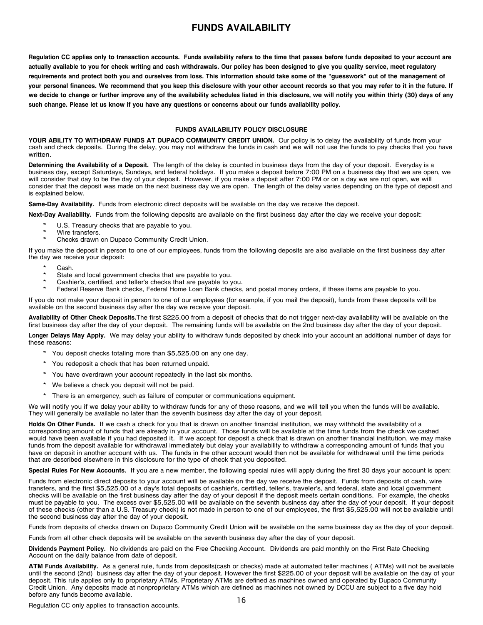## **FUNDS AVAILABILITY**

<span id="page-15-0"></span>Regulation CC applies only to transaction accounts. Funds availability refers to the time that passes before funds deposited to your account are actually available to you for check writing and cash withdrawals. Our policy has been designed to give you quality service, meet regulatory requirements and protect both you and ourselves from loss. This information should take some of the "guesswork" out of the management of your personal finances. We recommend that you keep this disclosure with your other account records so that you may refer to it in the future. If we decide to change or further improve any of the availability schedules listed in this disclosure, we will notify you within thirty (30) days of any such change. Please let us know if you have any questions or concerns about our funds availability policy.

### **FUNDS AVAILABILITY POLICY DISCLOSURE**

**YOUR ABILITY TO WITHDRAW FUNDS AT DUPACO COMMUNITY CREDIT UNION.** Our policy is to delay the availability of funds from your cash and check deposits. During the delay, you may not withdraw the funds in cash and we will not use the funds to pay checks that you have written.

**Determining the Availability of a Deposit.** The length of the delay is counted in business days from the day of your deposit. Everyday is a business day, except Saturdays, Sundays, and federal holidays. If you make a deposit before 7:00 PM on a business day that we are open, we will consider that day to be the day of your deposit. However, if you make a deposit after 7:00 PM or on a day we are not open, we will consider that the deposit was made on the next business day we are open. The length of the delay varies depending on the type of deposit and is explained below.

**Same-Day Availability.** Funds from electronic direct deposits will be available on the day we receive the deposit.

**Next-Day Availability.** Funds from the following deposits are available on the first business day after the day we receive your deposit:

- U.S. Treasury checks that are payable to you.
- \* Wire transfers.
- Checks drawn on Dupaco Community Credit Union.

If you make the deposit in person to one of our employees, funds from the following deposits are also available on the first business day after the day we receive your deposit:

- \* Cash.
- State and local government checks that are payable to you.
- Cashier's, certified, and teller's checks that are payable to you.
- Federal Reserve Bank checks, Federal Home Loan Bank checks, and postal money orders, if these items are payable to you.

If you do not make your deposit in person to one of our employees (for example, if you mail the deposit), funds from these deposits will be available on the second business day after the day we receive your deposit.

**Availability of Other Check Deposits.**The first \$225.00 from a deposit of checks that do not trigger next-day availability will be available on the first business day after the day of your deposit. The remaining funds will be available on the 2nd business day after the day of your deposit.

**Longer Delays May Apply.** We may delay your ability to withdraw funds deposited by check into your account an additional number of days for these reasons:

- \* You deposit checks totaling more than \$5,525.00 on any one day.
- \* You redeposit <sup>a</sup> check that has been returned unpaid.
- \* You have overdrawn your account repeatedly in the last six months.
- \* We believe <sup>a</sup> check you deposit will not be paid.
- \* There is an emergency, such as failure of computer or communications equipment.

We will notify you if we delay your ability to withdraw funds for any of these reasons, and we will tell you when the funds will be available. They will generally be available no later than the seventh business day after the day of your deposit.

**Holds On Other Funds.** If we cash a check for you that is drawn on another financial institution, we may withhold the availability of a corresponding amount of funds that are already in your account. Those funds will be available at the time funds from the check we cashed would have been available if you had deposited it. If we accept for deposit a check that is drawn on another financial institution, we may make funds from the deposit available for withdrawal immediately but delay your availability to withdraw a corresponding amount of funds that you have on deposit in another account with us. The funds in the other account would then not be available for withdrawal until the time periods that are described elsewhere in this disclosure for the type of check that you deposited.

**Special Rules For New Accounts.** If you are a new member, the following special rules will apply during the first 30 days your account is open:

Funds from electronic direct deposits to your account will be available on the day we receive the deposit. Funds from deposits of cash, wire transfers, and the first \$5,525.00 of a day's total deposits of cashier's, certified, teller's, traveler's, and federal, state and local government checks will be available on the first business day after the day of your deposit if the deposit meets certain conditions. For example, the checks must be payable to you. The excess over \$5,525.00 will be available on the seventh business day after the day of your deposit. If your deposit of these checks (other than a U.S. Treasury check) is not made in person to one of our employees, the first \$5,525.00 will not be available until the second business day after the day of your deposit.

Funds from deposits of checks drawn on Dupaco Community Credit Union will be available on the same business day as the day of your deposit.

Funds from all other check deposits will be available on the seventh business day after the day of your deposit.

**Dividends Payment Policy.** No dividends are paid on the Free Checking Account. Dividends are paid monthly on the First Rate Checking Account on the daily balance from date of deposit.

**ATM Funds Availability.** As a general rule, funds from deposits(cash or checks) made at automated teller machines ( ATMs) will not be available until the second (2nd) business day after the day of your deposit. However the first \$225.00 of your deposit will be available on the day of your deposit. This rule applies only to proprietary ATMs. Proprietary ATMs are defined as machines owned and operated by Dupaco Community Credit Union. Any deposits made at nonproprietary ATMs which are defined as machines not owned by DCCU are subject to a five day hold before any funds become available.

Regulation CC only applies to transaction accounts.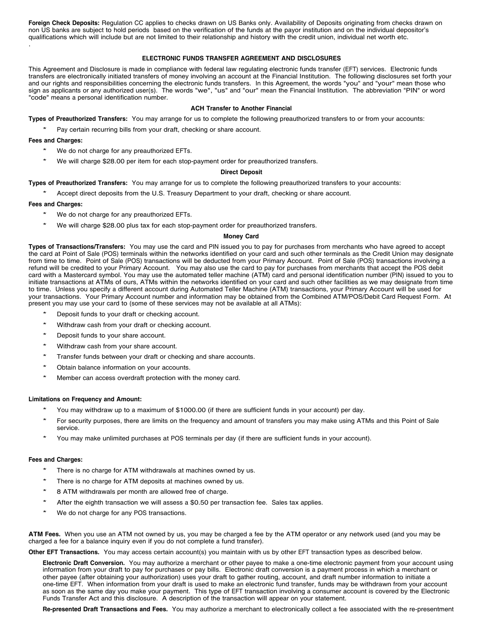**Foreign Check Deposits:** Regulation CC applies to checks drawn on US Banks only. Availability of Deposits originating from checks drawn on non US banks are subject to hold periods based on the verification of the funds at the payor institution and on the individual depositor's qualifications which will include but are not limited to their relationship and history with the credit union, individual net worth etc. .

### **ELECTRONIC FUNDS TRANSFER AGREEMENT AND DISCLOSURES**

This Agreement and Disclosure is made in compliance with federal law regulating electronic funds transfer (EFT) services. Electronic funds transfers are electronically initiated transfers of money involving an account at the Financial Institution. The following disclosures set forth your and our rights and responsibilities concerning the electronic funds transfers. In this Agreement, the words "you" and "your" mean those who sign as applicants or any authorized user(s). The words "we", "us" and "our" mean the Financial Institution. The abbreviation "PIN" or word "code" means a personal identification number.

### **ACH Transfer to Another Financial**

**Types of Preauthorized Transfers:** You may arrange for us to complete the following preauthorized transfers to or from your accounts:

Pay certain recurring bills from your draft, checking or share account.

**Fees and Charges:**

- We do not charge for any preauthorized EFTs.
- We will charge \$28.00 per item for each stop-payment order for preauthorized transfers.

### **Direct Deposit**

### **Types of Preauthorized Transfers:** You may arrange for us to complete the following preauthorized transfers to your accounts:

Accept direct deposits from the U.S. Treasury Department to your draft, checking or share account.

### **Fees and Charges:**

- We do not charge for any preauthorized EFTs.
- We will charge \$28.00 plus tax for each stop-payment order for preauthorized transfers.

### **Money Card**

**Types of Transactions/Transfers:** You may use the card and PIN issued you to pay for purchases from merchants who have agreed to accept the card at Point of Sale (POS) terminals within the networks identified on your card and such other terminals as the Credit Union may designate from time to time. Point of Sale (POS) transactions will be deducted from your Primary Account. Point of Sale (POS) transactions involving a refund will be credited to your Primary Account. You may also use the card to pay for purchases from merchants that accept the POS debit card with a Mastercard symbol. You may use the automated teller machine (ATM) card and personal identification number (PIN) issued to you to initiate transactions at ATMs of ours, ATMs within the networks identified on your card and such other facilities as we may designate from time to time. Unless you specify a different account during Automated Teller Machine (ATM) transactions, your Primary Account will be used for your transactions. Your Primary Account number and information may be obtained from the Combined ATM/POS/Debit Card Request Form. At present you may use your card to (some of these services may not be available at all ATMs):

- Deposit funds to your draft or checking account.
- Withdraw cash from your draft or checking account.
- Deposit funds to your share account.
- Withdraw cash from your share account.
- Transfer funds between your draft or checking and share accounts.
- Obtain balance information on your accounts.
- Member can access overdraft protection with the money card.

### **Limitations on Frequency and Amount:**

- You may withdraw up to a maximum of \$1000.00 (if there are sufficient funds in your account) per day.
- For security purposes, there are limits on the frequency and amount of transfers you may make using ATMs and this Point of Sale service.
- You may make unlimited purchases at POS terminals per day (if there are sufficient funds in your account).

### **Fees and Charges:**

- There is no charge for ATM withdrawals at machines owned by us.
- There is no charge for ATM deposits at machines owned by us.
- 8 ATM withdrawals per month are allowed free of charge.
- After the eighth transaction we will assess a \$0.50 per transaction fee. Sales tax applies.
- We do not charge for any POS transactions.

**ATM Fees.** When you use an ATM not owned by us, you may be charged a fee by the ATM operator or any network used (and you may be charged a fee for a balance inquiry even if you do not complete a fund transfer).

**Other EFT Transactions.** You may access certain account(s) you maintain with us by other EFT transaction types as described below.

Funds Transfer Act and this disclosure. A description of the transaction will appear on your statement. **Electronic Draft Conversion.** You may authorize a merchant or other payee to make a one-time electronic payment from your account using information from your draft to pay for purchases or pay bills. Electronic draft conversion is a payment process in which a merchant or other payee (after obtaining your authorization) uses your draft to gather routing, account, and draft number information to initiate a one-time EFT. When information from your draft is used to make an electronic fund transfer, funds may be withdrawn from your account as soon as the same day you make your payment. This type of EFT transaction involving a consumer account is covered by the Electronic

**Re-presented Draft Transactions and Fees.** You may authorize a merchant to electronically collect a fee associated with the re-presentment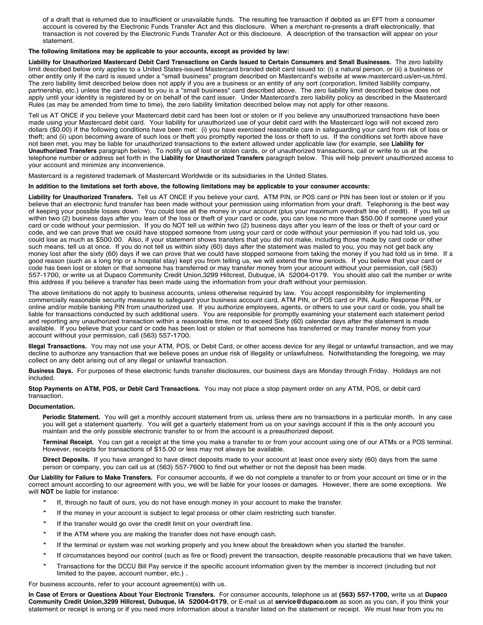of a draft that is returned due to insufficient or unavailable funds. The resulting fee transaction if debited as an EFT from a consumer account is covered by the Electronic Funds Transfer Act and this disclosure. When a merchant re-presents a draft electronically, that transaction is not covered by the Electronic Funds Transfer Act or this disclosure. A description of the transaction will appear on your statement.

**The following limitations may be applicable to your accounts, except as provided by law:**

Liability for Unauthorized Mastercard Debit Card Transactions on Cards Issued to Certain Consumers and Small Businesses. The zero liability limit described below only applies to a United States-issued Mastercard branded debit card issued to: (i) a natural person, or (ii) a business or other entity only if the card is issued under a "small business" program described on Mastercard's website at www.mastercard.us/en-us.html. The zero liability limit described below does not apply if you are a business or an entity of any sort (corporation, limited liability company, partnership, etc.) unless the card issued to you is a "small business" card described above. The zero liability limit described below does not apply until your identity is registered by or on behalf of the card issuer. Under Mastercard's zero liability policy as described in the Mastercard Rules (as may be amended from time to time), the zero liability limitation described below may not apply for other reasons.

Tell us AT ONCE if you believe your Mastercard debit card has been lost or stolen or if you believe any unauthorized transactions have been made using your Mastercard debit card. Your liability for unauthorized use of your debit card with the Mastercard logo will not exceed zero dollars (\$0.00) if the following conditions have been met: (i) you have exercised reasonable care in safeguarding your card from risk of loss or theft; and (ii) upon becoming aware of such loss or theft you promptly reported the loss or theft to us. If the conditions set forth above have not been met, you may be liable for unauthorized transactions to the extent allowed under applicable law (for example, see **Liability for Unauthorized Transfers** paragraph below). To notify us of lost or stolen cards, or of unauthorized transactions, call or write to us at the telephone number or address set forth in the **Liability for Unauthorized Transfers** paragraph below. This will help prevent unauthorized access to your account and minimize any inconvenience.

Mastercard is a registered trademark of Mastercard Worldwide or its subsidiaries in the United States.

#### In addition to the limitations set forth above, the following limitations may be applicable to your consumer accounts:

**Liability for Unauthorized Transfers.** Tell us AT ONCE if you believe your card, ATM PIN, or POS card or PIN has been lost or stolen or if you believe that an electronic fund transfer has been made without your permission using information from your draft. Telephoning is the best way of keeping your possible losses down. You could lose all the money in your account (plus your maximum overdraft line of credit). If you tell us within two (2) business days after you learn of the loss or theft of your card or code, you can lose no more than \$50.00 if someone used your card or code without your permission. If you do NOT tell us within two (2) business days after you learn of the loss or theft of your card or code, and we can prove that we could have stopped someone from using your card or code without your permission if you had told us, you could lose as much as \$500.00. Also, if your statement shows transfers that you did not make, including those made by card code or other such means, tell us at once. If you do not tell us within sixty (60) days after the statement was mailed to you, you may not get back any money lost after the sixty (60) days if we can prove that we could have stopped someone from taking the money if you had told us in time. If a good reason (such as a long trip or a hospital stay) kept you from telling us, we will extend the time periods. If you believe that your card or code has been lost or stolen or that someone has transferred or may transfer money from your account without your permission, call (563) 557-1700, or write us at Dupaco Community Credit Union,3299 Hillcrest, Dubuque, IA 52004-0179. You should also call the number or write this address if you believe a transfer has been made using the information from your draft without your permission.

The above limitations do not apply to business accounts, unless otherwise required by law. You accept responsibility for implementing commercially reasonable security measures to safeguard your business account card, ATM PIN, or POS card or PIN, Audio Response PIN, or online and/or mobile banking PIN from unauthorized use. If you authorize employees, agents, or others to use your card or code, you shall be liable for transactions conducted by such additional users. You are responsible for promptly examining your statement each statement period and reporting any unauthorized transaction within a reasonable time, not to exceed Sixty (60) calendar days after the statement is made available. If you believe that your card or code has been lost or stolen or that someone has transferred or may transfer money from your account without your permission, call (563) 557-1700.

**Illegal Transactions.** You may not use your ATM, POS, or Debit Card, or other access device for any illegal or unlawful transaction, and we may decline to authorize any transaction that we believe poses an undue risk of illegality or unlawfulness. Notwithstanding the foregoing, we may collect on any debt arising out of any illegal or unlawful transaction.

**Business Days.** For purposes of these electronic funds transfer disclosures, our business days are Monday through Friday. Holidays are not included.

**Stop Payments on ATM, POS, or Debit Card Transactions.** You may not place a stop payment order on any ATM, POS, or debit card transaction.

#### **Documentation.**

**Periodic Statement.** You will get a monthly account statement from us, unless there are no transactions in a particular month. In any case you will get a statement quarterly. You will get a quarterly statement from us on your savings account if this is the only account you maintain and the only possible electronic transfer to or from the account is a preauthorized deposit.

**Terminal Receipt.** You can get a receipt at the time you make a transfer to or from your account using one of our ATMs or a POS terminal. However, receipts for transactions of \$15.00 or less may not always be available.

**Direct Deposits.** If you have arranged to have direct deposits made to your account at least once every sixty (60) days from the same person or company, you can call us at (563) 557-7600 to find out whether or not the deposit has been made.

**Our Liability for Failure to Make Transfers.** For consumer accounts, if we do not complete a transfer to or from your account on time or in the correct amount according to our agreement with you, we will be liable for your losses or damages. However, there are some exceptions. We will **NOT** be liable for instance:

- If, through no fault of ours, you do not have enough money in your account to make the transfer.
- If the money in your account is subject to legal process or other claim restricting such transfer.
- If the transfer would go over the credit limit on your overdraft line.
- If the ATM where you are making the transfer does not have enough cash.
- If the terminal or system was not working properly and you knew about the breakdown when you started the transfer.
- If circumstances beyond our control (such as fire or flood) prevent the transaction, despite reasonable precautions that we have taken.
- Transactions for the DCCU Bill Pay service if the specific account information given by the member is incorrect (including but not limited to the payee, account number, etc.) .

For business accounts, refer to your account agreement(s) with us.

18 **Community Credit Union,3299 Hillcrest, Dubuque, IA 52004-0179**, or E-mail us at **service@dupaco.com** as soon as you can, if you think your In Case of Errors or Questions About Your Electronic Transfers. For consumer accounts, telephone us at (563) 557-1700, write us at Dupaco statement or receipt is wrong or if you need more information about a transfer listed on the statement or receipt. We must hear from you no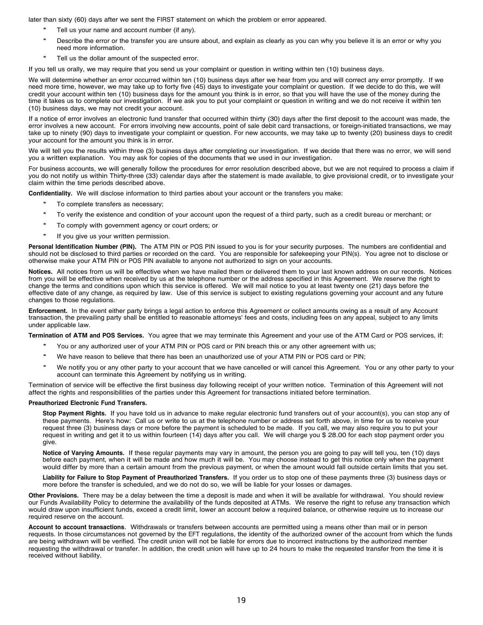later than sixty (60) days after we sent the FIRST statement on which the problem or error appeared.

- Tell us your name and account number (if any).
- Describe the error or the transfer you are unsure about, and explain as clearly as you can why you believe it is an error or why you need more information.
- Tell us the dollar amount of the suspected error.

If you tell us orally, we may require that you send us your complaint or question in writing within ten (10) business days.

We will determine whether an error occurred within ten (10) business days after we hear from you and will correct any error promptly. If we need more time, however, we may take up to forty five (45) days to investigate your complaint or question. If we decide to do this, we will credit your account within ten (10) business days for the amount you think is in error, so that you will have the use of the money during the time it takes us to complete our investigation. If we ask you to put your complaint or question in writing and we do not receive it within ten (10) business days, we may not credit your account.

If a notice of error involves an electronic fund transfer that occurred within thirty (30) days after the first deposit to the account was made, the error involves a new account. For errors involving new accounts, point of sale debit card transactions, or foreign-initiated transactions, we may take up to ninety (90) days to investigate your complaint or question. For new accounts, we may take up to twenty (20) business days to credit your account for the amount you think is in error.

We will tell you the results within three (3) business days after completing our investigation. If we decide that there was no error, we will send you a written explanation. You may ask for copies of the documents that we used in our investigation.

For business accounts, we will generally follow the procedures for error resolution described above, but we are not required to process a claim if you do not notify us within Thirty-three (33) calendar days after the statement is made available, to give provisional credit, or to investigate your claim within the time periods described above.

**Confidentiality.** We will disclose information to third parties about your account or the transfers you make:

- To complete transfers as necessary;
- To verify the existence and condition of your account upon the request of a third party, such as a credit bureau or merchant; or
- To comply with government agency or court orders; or
- If you give us your written permission.

**Personal Identification Number (PIN).** The ATM PIN or POS PIN issued to you is for your security purposes. The numbers are confidential and should not be disclosed to third parties or recorded on the card. You are responsible for safekeeping your PIN(s). You agree not to disclose or otherwise make your ATM PIN or POS PIN available to anyone not authorized to sign on your accounts.

**Notices.** All notices from us will be effective when we have mailed them or delivered them to your last known address on our records. Notices from you will be effective when received by us at the telephone number or the address specified in this Agreement. We reserve the right to change the terms and conditions upon which this service is offered. We will mail notice to you at least twenty one (21) days before the effective date of any change, as required by law. Use of this service is subject to existing regulations governing your account and any future changes to those regulations.

**Enforcement.** In the event either party brings a legal action to enforce this Agreement or collect amounts owing as a result of any Account transaction, the prevailing party shall be entitled to reasonable attorneys' fees and costs, including fees on any appeal, subject to any limits under applicable law.

**Termination of ATM and POS Services.** You agree that we may terminate this Agreement and your use of the ATM Card or POS services, if:

- You or any authorized user of your ATM PIN or POS card or PIN breach this or any other agreement with us;
- \* We have reason to believe that there has been an unauthorized use of your ATM PIN or POS card or PIN;
- We notify you or any other party to your account that we have cancelled or will cancel this Agreement. You or any other party to your account can terminate this Agreement by notifying us in writing.

Termination of service will be effective the first business day following receipt of your written notice. Termination of this Agreement will not affect the rights and responsibilities of the parties under this Agreement for transactions initiated before termination.

### **Preauthorized Electronic Fund Transfers.**

**Stop Payment Rights.** If you have told us in advance to make regular electronic fund transfers out of your account(s), you can stop any of these payments. Here's how: Call us or write to us at the telephone number or address set forth above, in time for us to receive your request three (3) business days or more before the payment is scheduled to be made. If you call, we may also require you to put your request in writing and get it to us within fourteen (14) days after you call. We will charge you \$ 28.00 for each stop payment order you give.

**Notice of Varying Amounts.** If these regular payments may vary in amount, the person you are going to pay will tell you, ten (10) days before each payment, when it will be made and how much it will be. You may choose instead to get this notice only when the payment would differ by more than a certain amount from the previous payment, or when the amount would fall outside certain limits that you set.

**Liability for Failure to Stop Payment of Preauthorized Transfers.** If you order us to stop one of these payments three (3) business days or more before the transfer is scheduled, and we do not do so, we will be liable for your losses or damages.

**Other Provisions.** There may be a delay between the time a deposit is made and when it will be available for withdrawal. You should review our Funds Availability Policy to determine the availability of the funds deposited at ATMs. We reserve the right to refuse any transaction which would draw upon insufficient funds, exceed a credit limit, lower an account below a required balance, or otherwise require us to increase our required reserve on the account.

**Account to account transactions**. Withdrawals or transfers between accounts are permitted using a means other than mail or in person requests. In those circumstances not governed by the EFT regulations, the identity of the authorized owner of the account from which the funds are being withdrawn will be verified. The credit union will not be liable for errors due to incorrect instructions by the authorized member requesting the withdrawal or transfer. In addition, the credit union will have up to 24 hours to make the requested transfer from the time it is received without liability.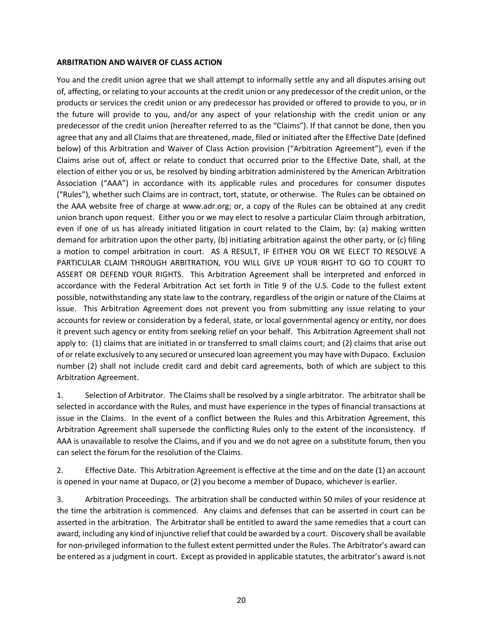### <span id="page-19-0"></span>**ARBITRATION AND WAIVER OF CLASS ACTION**

You and the credit union agree that we shall attempt to informally settle any and all disputes arising out of, affecting, or relating to your accounts at the credit union or any predecessor of the credit union, or the products or services the credit union or any predecessor has provided or offered to provide to you, or in the future will provide to you, and/or any aspect of your relationship with the credit union or any predecessor of the credit union (hereafter referred to as the "Claims"). If that cannot be done, then you agree that any and all Claims that are threatened, made, filed or initiated after the Effective Date (defined below) of this Arbitration and Waiver of Class Action provision ("Arbitration Agreement"), even if the Claims arise out of, affect or relate to conduct that occurred prior to the Effective Date, shall, at the election of either you or us, be resolved by binding arbitration administered by the American Arbitration Association ("AAA") in accordance with its applicable rules and procedures for consumer disputes ("Rules"), whether such Claims are in contract, tort, statute, or otherwise. The Rules can be obtained on the AAA website free of charge at www.adr.org; or, a copy of the Rules can be obtained at any credit union branch upon request. Either you or we may elect to resolve a particular Claim through arbitration, even if one of us has already initiated litigation in court related to the Claim, by: (a) making written demand for arbitration upon the other party, (b) initiating arbitration against the other party, or (c) filing a motion to compel arbitration in court. AS A RESULT, IF EITHER YOU OR WE ELECT TO RESOLVE A PARTICULAR CLAIM THROUGH ARBITRATION, YOU WILL GIVE UP YOUR RIGHT TO GO TO COURT TO ASSERT OR DEFEND YOUR RIGHTS. This Arbitration Agreement shall be interpreted and enforced in accordance with the Federal Arbitration Act set forth in Title 9 of the U.S. Code to the fullest extent possible, notwithstanding any state law to the contrary, regardless of the origin or nature of the Claims at issue. This Arbitration Agreement does not prevent you from submitting any issue relating to your accounts for review or consideration by a federal, state, or local governmental agency or entity, nor does it prevent such agency or entity from seeking relief on your behalf. This Arbitration Agreement shall not apply to: (1) claims that are initiated in or transferred to small claims court; and (2) claims that arise out of or relate exclusively to any secured or unsecured loan agreement you may have with Dupaco. Exclusion number (2) shall not include credit card and debit card agreements, both of which are subject to this Arbitration Agreement.

1. Selection of Arbitrator. The Claims shall be resolved by a single arbitrator. The arbitrator shall be selected in accordance with the Rules, and must have experience in the types of financial transactions at issue in the Claims. In the event of a conflict between the Rules and this Arbitration Agreement, this Arbitration Agreement shall supersede the conflicting Rules only to the extent of the inconsistency. If AAA is unavailable to resolve the Claims, and if you and we do not agree on a substitute forum, then you can select the forum for the resolution of the Claims.

2. Effective Date. This Arbitration Agreement is effective at the time and on the date (1) an account is opened in your name at Dupaco, or (2) you become a member of Dupaco, whichever is earlier.

3. Arbitration Proceedings. The arbitration shall be conducted within 50 miles of your residence at the time the arbitration is commenced. Any claims and defenses that can be asserted in court can be asserted in the arbitration. The Arbitrator shall be entitled to award the same remedies that a court can award, including any kind of injunctive relief that could be awarded by a court. Discovery shall be available for non-privileged information to the fullest extent permitted under the Rules. The Arbitrator's award can be entered as a judgment in court. Except as provided in applicable statutes, the arbitrator's award is not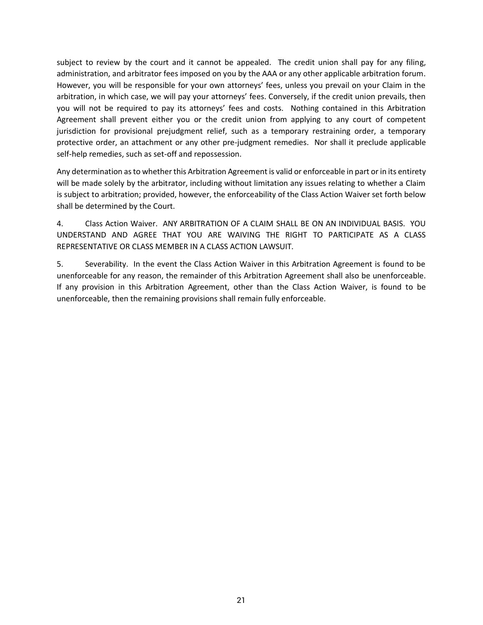subject to review by the court and it cannot be appealed. The credit union shall pay for any filing, administration, and arbitrator fees imposed on you by the AAA or any other applicable arbitration forum. However, you will be responsible for your own attorneys' fees, unless you prevail on your Claim in the arbitration, in which case, we will pay your attorneys' fees. Conversely, if the credit union prevails, then you will not be required to pay its attorneys' fees and costs. Nothing contained in this Arbitration Agreement shall prevent either you or the credit union from applying to any court of competent jurisdiction for provisional prejudgment relief, such as a temporary restraining order, a temporary protective order, an attachment or any other pre-judgment remedies. Nor shall it preclude applicable self-help remedies, such as set-off and repossession.

Any determination as to whether this Arbitration Agreement is valid or enforceable in part or in its entirety will be made solely by the arbitrator, including without limitation any issues relating to whether a Claim is subject to arbitration; provided, however, the enforceability of the Class Action Waiver set forth below shall be determined by the Court.

4. Class Action Waiver. ANY ARBITRATION OF A CLAIM SHALL BE ON AN INDIVIDUAL BASIS. YOU UNDERSTAND AND AGREE THAT YOU ARE WAIVING THE RIGHT TO PARTICIPATE AS A CLASS REPRESENTATIVE OR CLASS MEMBER IN A CLASS ACTION LAWSUIT.

5. Severability. In the event the Class Action Waiver in this Arbitration Agreement is found to be unenforceable for any reason, the remainder of this Arbitration Agreement shall also be unenforceable. If any provision in this Arbitration Agreement, other than the Class Action Waiver, is found to be unenforceable, then the remaining provisions shall remain fully enforceable.